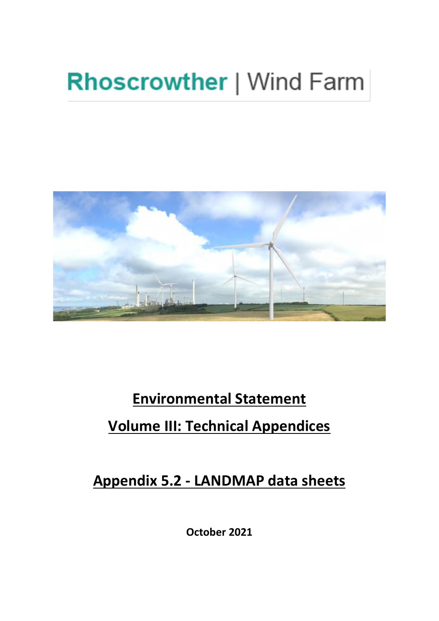# **Rhoscrowther | Wind Farm**



## **Environmental Statement Volume III: Technical Appendices**

**Appendix 5.2 - LANDMAP data sheets** 

**October 2021**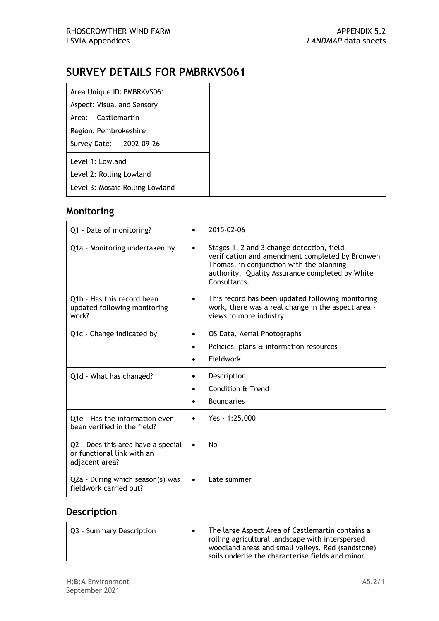| Area Unique ID: PMBRKVS061      |
|---------------------------------|
| Aspect: Visual and Sensory      |
| Area: Castlemartin              |
| Region: Pembrokeshire           |
| Survey Date: 2002-09-26         |
| Level 1: Lowland                |
| Level 2: Rolling Lowland        |
| Level 3: Mosaic Rolling Lowland |

## **Monitoring**

| Q1 - Date of monitoring?                                                           | 2015-02-06                                                                                                                                                                                                               |
|------------------------------------------------------------------------------------|--------------------------------------------------------------------------------------------------------------------------------------------------------------------------------------------------------------------------|
| Q1a - Monitoring undertaken by                                                     | Stages 1, 2 and 3 change detection, field<br>$\bullet$<br>verification and amendment completed by Bronwen<br>Thomas, in conjunction with the planning<br>authority. Quality Assurance completed by White<br>Consultants. |
| Q1b - Has this record been<br>updated following monitoring<br>work?                | This record has been updated following monitoring<br>$\bullet$<br>work, there was a real change in the aspect area -<br>views to more industry                                                                           |
| Q1c - Change indicated by                                                          | OS Data, Aerial Photographs<br>٠<br>Policies, plans & information resources<br>$\bullet$<br>Fieldwork                                                                                                                    |
| Q1d - What has changed?                                                            | Description<br>٠<br>Condition & Trend<br><b>Boundaries</b>                                                                                                                                                               |
| Q1e - Has the information ever<br>been verified in the field?                      | Yes - 1:25,000                                                                                                                                                                                                           |
| Q2 - Does this area have a special<br>or functional link with an<br>adjacent area? | <b>No</b><br>$\bullet$                                                                                                                                                                                                   |
| Q2a - During which season(s) was<br>fieldwork carried out?                         | Late summer<br>$\bullet$                                                                                                                                                                                                 |

| Q3 - Summary Description | The large Aspect Area of Castlemartin contains a<br>rolling agricultural landscape with interspersed<br>woodland areas and small valleys. Red (sandstone)<br>soils underlie the characterise fields and minor |
|--------------------------|---------------------------------------------------------------------------------------------------------------------------------------------------------------------------------------------------------------|
|--------------------------|---------------------------------------------------------------------------------------------------------------------------------------------------------------------------------------------------------------|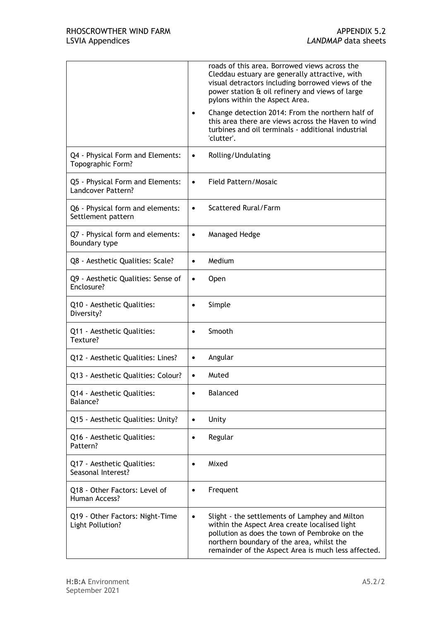|                                                        | roads of this area. Borrowed views across the<br>Cleddau estuary are generally attractive, with<br>visual detractors including borrowed views of the<br>power station & oil refinery and views of large<br>pylons within the Aspect Area.                         |
|--------------------------------------------------------|-------------------------------------------------------------------------------------------------------------------------------------------------------------------------------------------------------------------------------------------------------------------|
|                                                        | Change detection 2014: From the northern half of<br>this area there are views across the Haven to wind<br>turbines and oil terminals - additional industrial<br>'clutter'.                                                                                        |
| Q4 - Physical Form and Elements:<br>Topographic Form?  | Rolling/Undulating<br>٠                                                                                                                                                                                                                                           |
| Q5 - Physical Form and Elements:<br>Landcover Pattern? | Field Pattern/Mosaic<br>$\bullet$                                                                                                                                                                                                                                 |
| Q6 - Physical form and elements:<br>Settlement pattern | Scattered Rural/Farm<br>$\bullet$                                                                                                                                                                                                                                 |
| Q7 - Physical form and elements:<br>Boundary type      | Managed Hedge<br>$\bullet$                                                                                                                                                                                                                                        |
| Q8 - Aesthetic Qualities: Scale?                       | Medium<br>$\bullet$                                                                                                                                                                                                                                               |
| Q9 - Aesthetic Qualities: Sense of<br>Enclosure?       | <b>Open</b><br>$\bullet$                                                                                                                                                                                                                                          |
| Q10 - Aesthetic Qualities:<br>Diversity?               | Simple                                                                                                                                                                                                                                                            |
| Q11 - Aesthetic Qualities:<br>Texture?                 | Smooth                                                                                                                                                                                                                                                            |
| Q12 - Aesthetic Qualities: Lines?                      | Angular<br>$\bullet$                                                                                                                                                                                                                                              |
| Q13 - Aesthetic Qualities: Colour?                     | Muted<br>$\bullet$                                                                                                                                                                                                                                                |
| Q14 - Aesthetic Qualities:<br>Balance?                 | Balanced                                                                                                                                                                                                                                                          |
| Q15 - Aesthetic Qualities: Unity?                      | Unity<br>$\bullet$                                                                                                                                                                                                                                                |
| Q16 - Aesthetic Qualities:<br>Pattern?                 | Regular<br>$\bullet$                                                                                                                                                                                                                                              |
| Q17 - Aesthetic Qualities:<br>Seasonal Interest?       | Mixed<br>$\bullet$                                                                                                                                                                                                                                                |
| Q18 - Other Factors: Level of<br>Human Access?         | Frequent<br>$\bullet$                                                                                                                                                                                                                                             |
| Q19 - Other Factors: Night-Time<br>Light Pollution?    | Slight - the settlements of Lamphey and Milton<br>$\bullet$<br>within the Aspect Area create localised light<br>pollution as does the town of Pembroke on the<br>northern boundary of the area, whilst the<br>remainder of the Aspect Area is much less affected. |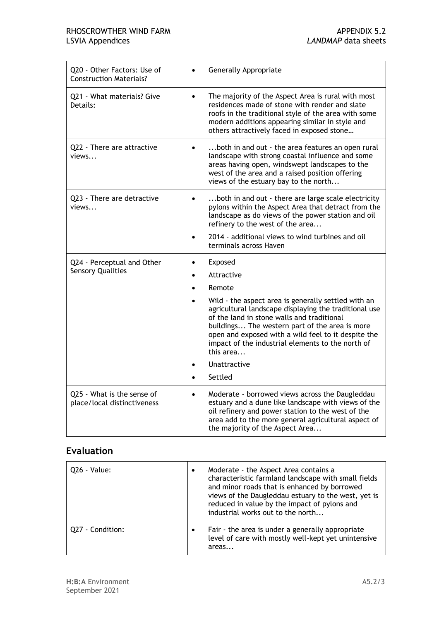| Q20 - Other Factors: Use of<br><b>Construction Materials?</b> | Generally Appropriate                                                                                                                                                                                                                                                                                                                                                                                                                                   |
|---------------------------------------------------------------|---------------------------------------------------------------------------------------------------------------------------------------------------------------------------------------------------------------------------------------------------------------------------------------------------------------------------------------------------------------------------------------------------------------------------------------------------------|
| 021 - What materials? Give<br>Details:                        | The majority of the Aspect Area is rural with most<br>$\bullet$<br>residences made of stone with render and slate<br>roofs in the traditional style of the area with some<br>modern additions appearing similar in style and<br>others attractively faced in exposed stone                                                                                                                                                                              |
| Q22 - There are attractive<br>views                           | both in and out - the area features an open rural<br>$\bullet$<br>landscape with strong coastal influence and some<br>areas having open, windswept landscapes to the<br>west of the area and a raised position offering<br>views of the estuary bay to the north                                                                                                                                                                                        |
| Q23 - There are detractive<br>views                           | both in and out - there are large scale electricity<br>$\bullet$<br>pylons within the Aspect Area that detract from the<br>landscape as do views of the power station and oil<br>refinery to the west of the area                                                                                                                                                                                                                                       |
|                                                               | 2014 - additional views to wind turbines and oil<br>terminals across Haven                                                                                                                                                                                                                                                                                                                                                                              |
| Q24 - Perceptual and Other<br><b>Sensory Qualities</b>        | Exposed<br>$\bullet$<br>Attractive<br>$\bullet$<br>Remote<br>$\bullet$<br>Wild - the aspect area is generally settled with an<br>agricultural landscape displaying the traditional use<br>of the land in stone walls and traditional<br>buildings The western part of the area is more<br>open and exposed with a wild feel to it despite the<br>impact of the industrial elements to the north of<br>this area<br>Unattractive<br>Settled<br>$\bullet$ |
| Q25 - What is the sense of<br>place/local distinctiveness     | Moderate - borrowed views across the Daugleddau<br>$\bullet$<br>estuary and a dune like landscape with views of the<br>oil refinery and power station to the west of the<br>area add to the more general agricultural aspect of<br>the majority of the Aspect Area                                                                                                                                                                                      |

| Q26 - Value:     | $\bullet$ | Moderate - the Aspect Area contains a<br>characteristic farmland landscape with small fields<br>and minor roads that is enhanced by borrowed<br>views of the Daugleddau estuary to the west, yet is<br>reduced in value by the impact of pylons and<br>industrial works out to the north |
|------------------|-----------|------------------------------------------------------------------------------------------------------------------------------------------------------------------------------------------------------------------------------------------------------------------------------------------|
| Q27 - Condition: | $\bullet$ | Fair - the area is under a generally appropriate<br>level of care with mostly well-kept yet unintensive<br>areas                                                                                                                                                                         |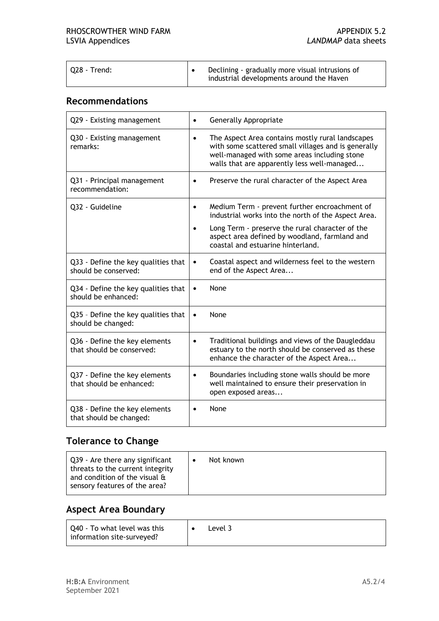| 028 - Trend: | Declining - gradually more visual intrusions of<br>industrial developments around the Haven |
|--------------|---------------------------------------------------------------------------------------------|
|--------------|---------------------------------------------------------------------------------------------|

#### **Recommendations**

| Q29 - Existing management                                   | <b>Generally Appropriate</b><br>$\bullet$                                                                                                                                                                                                                  |
|-------------------------------------------------------------|------------------------------------------------------------------------------------------------------------------------------------------------------------------------------------------------------------------------------------------------------------|
| Q30 - Existing management<br>remarks:                       | The Aspect Area contains mostly rural landscapes<br>$\bullet$<br>with some scattered small villages and is generally<br>well-managed with some areas including stone<br>walls that are apparently less well-managed                                        |
| Q31 - Principal management<br>recommendation:               | Preserve the rural character of the Aspect Area<br>$\bullet$                                                                                                                                                                                               |
| Q32 - Guideline                                             | Medium Term - prevent further encroachment of<br>$\bullet$<br>industrial works into the north of the Aspect Area.<br>Long Term - preserve the rural character of the<br>aspect area defined by woodland, farmland and<br>coastal and estuarine hinterland. |
| Q33 - Define the key qualities that<br>should be conserved: | Coastal aspect and wilderness feel to the western<br>$\bullet$<br>end of the Aspect Area                                                                                                                                                                   |
| Q34 - Define the key qualities that<br>should be enhanced:  | None<br>$\bullet$                                                                                                                                                                                                                                          |
| Q35 - Define the key qualities that<br>should be changed:   | None<br>$\bullet$                                                                                                                                                                                                                                          |
| Q36 - Define the key elements<br>that should be conserved:  | Traditional buildings and views of the Daugleddau<br>$\bullet$<br>estuary to the north should be conserved as these<br>enhance the character of the Aspect Area                                                                                            |
| Q37 - Define the key elements<br>that should be enhanced:   | Boundaries including stone walls should be more<br>$\bullet$<br>well maintained to ensure their preservation in<br>open exposed areas                                                                                                                      |
| Q38 - Define the key elements<br>that should be changed:    | None<br>$\bullet$                                                                                                                                                                                                                                          |

## **Tolerance to Change**

| and condition of the visual &<br>sensory features of the area? | Q39 - Are there any significant<br>threats to the current integrity | Not known |
|----------------------------------------------------------------|---------------------------------------------------------------------|-----------|
|----------------------------------------------------------------|---------------------------------------------------------------------|-----------|

## **Aspect Area Boundary**

| Q40 - To what level was this<br>information site-surveyed? |  | ∟evel 3 |
|------------------------------------------------------------|--|---------|
|------------------------------------------------------------|--|---------|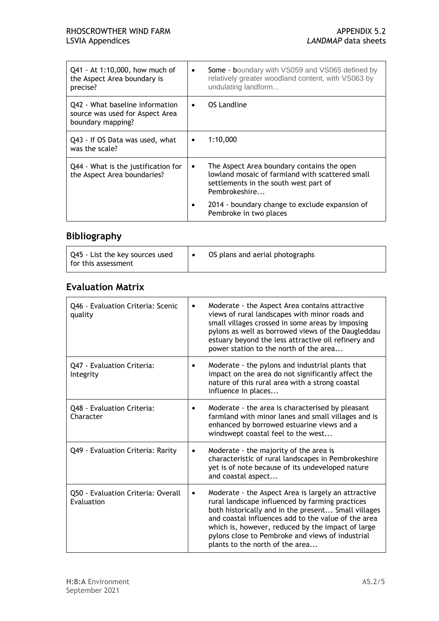| Q41 - At 1:10,000, how much of<br>the Aspect Area boundary is<br>precise?               | $\bullet$ | Some - boundary with VS059 and VS065 defined by<br>relatively greater woodland content, with VS063 by<br>undulating landform                            |
|-----------------------------------------------------------------------------------------|-----------|---------------------------------------------------------------------------------------------------------------------------------------------------------|
| Q42 - What baseline information<br>source was used for Aspect Area<br>boundary mapping? | $\bullet$ | OS Landline                                                                                                                                             |
| Q43 - If OS Data was used, what<br>was the scale?                                       |           | 1:10,000                                                                                                                                                |
| Q44 - What is the justification for<br>the Aspect Area boundaries?                      |           | The Aspect Area boundary contains the open<br>lowland mosaic of farmland with scattered small<br>settlements in the south west part of<br>Pembrokeshire |
|                                                                                         |           | 2014 - boundary change to exclude expansion of<br>Pembroke in two places                                                                                |

## **Bibliography**

| Q45 - List the key sources used<br>l for this assessment | OS plans and aerial photographs |
|----------------------------------------------------------|---------------------------------|
|                                                          |                                 |

#### **Evaluation Matrix**

| Q46 - Evaluation Criteria: Scenic<br>quality     | Moderate - the Aspect Area contains attractive<br>$\bullet$<br>views of rural landscapes with minor roads and<br>small villages crossed in some areas by imposing<br>pylons as well as borrowed views of the Daugleddau<br>estuary beyond the less attractive oil refinery and<br>power station to the north of the area                                                      |
|--------------------------------------------------|-------------------------------------------------------------------------------------------------------------------------------------------------------------------------------------------------------------------------------------------------------------------------------------------------------------------------------------------------------------------------------|
| Q47 - Evaluation Criteria:<br>Integrity          | Moderate - the pylons and industrial plants that<br>٠<br>impact on the area do not significantly affect the<br>nature of this rural area with a strong coastal<br>influence in places                                                                                                                                                                                         |
| Q48 - Evaluation Criteria:<br>Character          | Moderate - the area is characterised by pleasant<br>$\bullet$<br>farmland with minor lanes and small villages and is<br>enhanced by borrowed estuarine views and a<br>windswept coastal feel to the west                                                                                                                                                                      |
| Q49 - Evaluation Criteria: Rarity                | Moderate - the majority of the area is<br>$\bullet$<br>characteristic of rural landscapes in Pembrokeshire<br>yet is of note because of its undeveloped nature<br>and coastal aspect                                                                                                                                                                                          |
| Q50 - Evaluation Criteria: Overall<br>Evaluation | Moderate - the Aspect Area is largely an attractive<br>$\bullet$<br>rural landscape influenced by farming practices<br>both historically and in the present Small villages<br>and coastal influences add to the value of the area<br>which is, however, reduced by the impact of large<br>pylons close to Pembroke and views of industrial<br>plants to the north of the area |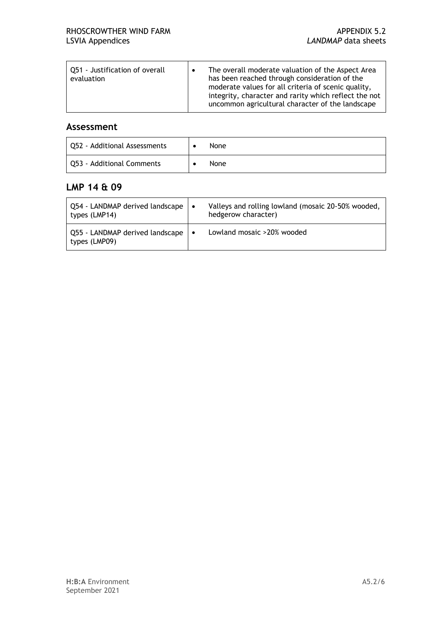| Q51 - Justification of overall<br>$\bullet$<br>evaluation | The overall moderate valuation of the Aspect Area<br>has been reached through consideration of the<br>moderate values for all criteria of scenic quality,<br>integrity, character and rarity which reflect the not<br>uncommon agricultural character of the landscape |
|-----------------------------------------------------------|------------------------------------------------------------------------------------------------------------------------------------------------------------------------------------------------------------------------------------------------------------------------|
|-----------------------------------------------------------|------------------------------------------------------------------------------------------------------------------------------------------------------------------------------------------------------------------------------------------------------------------------|

#### **Assessment**

| Q52 - Additional Assessments | None |
|------------------------------|------|
| Q53 - Additional Comments    | None |

#### **LMP 14 & 09**

| Q54 - LANDMAP derived landscape  <br>types (LMP14) | ∣∙ | Valleys and rolling lowland (mosaic 20-50% wooded,<br>hedgerow character) |
|----------------------------------------------------|----|---------------------------------------------------------------------------|
| Q55 - LANDMAP derived landscape  <br>types (LMP09) | ∣∙ | Lowland mosaic >20% wooded                                                |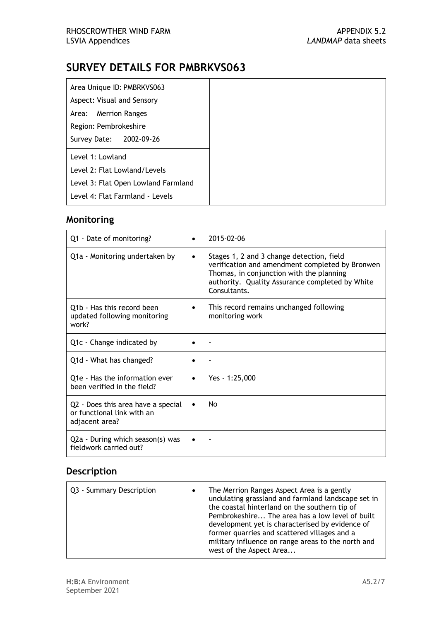| Area Unique ID: PMBRKVS063          |
|-------------------------------------|
| Aspect: Visual and Sensory          |
| Area: Merrion Ranges                |
| Region: Pembrokeshire               |
| Survey Date: 2002-09-26             |
| Level 1: Lowland                    |
| Level 2: Flat Lowland/Levels        |
| Level 3: Flat Open Lowland Farmland |
| Level 4: Flat Farmland - Levels     |

## **Monitoring**

| Q1 - Date of monitoring?                                                           | 2015-02-06                                                                                                                                                                                                               |
|------------------------------------------------------------------------------------|--------------------------------------------------------------------------------------------------------------------------------------------------------------------------------------------------------------------------|
| Q1a - Monitoring undertaken by                                                     | Stages 1, 2 and 3 change detection, field<br>$\bullet$<br>verification and amendment completed by Bronwen<br>Thomas, in conjunction with the planning<br>authority. Quality Assurance completed by White<br>Consultants. |
| Q1b - Has this record been<br>updated following monitoring<br>work?                | This record remains unchanged following<br>٠<br>monitoring work                                                                                                                                                          |
| Q1c - Change indicated by                                                          |                                                                                                                                                                                                                          |
| Q1d - What has changed?                                                            |                                                                                                                                                                                                                          |
| Q1e - Has the information ever<br>been verified in the field?                      | Yes - 1:25,000<br>٠                                                                                                                                                                                                      |
| Q2 - Does this area have a special<br>or functional link with an<br>adjacent area? | No<br>$\bullet$                                                                                                                                                                                                          |
| Q2a - During which season(s) was<br>fieldwork carried out?                         |                                                                                                                                                                                                                          |

| Q3 - Summary Description | The Merrion Ranges Aspect Area is a gently<br>undulating grassland and farmland landscape set in<br>the coastal hinterland on the southern tip of<br>Pembrokeshire The area has a low level of built<br>development yet is characterised by evidence of<br>former quarries and scattered villages and a<br>military influence on range areas to the north and<br>west of the Aspect Area |
|--------------------------|------------------------------------------------------------------------------------------------------------------------------------------------------------------------------------------------------------------------------------------------------------------------------------------------------------------------------------------------------------------------------------------|
|                          |                                                                                                                                                                                                                                                                                                                                                                                          |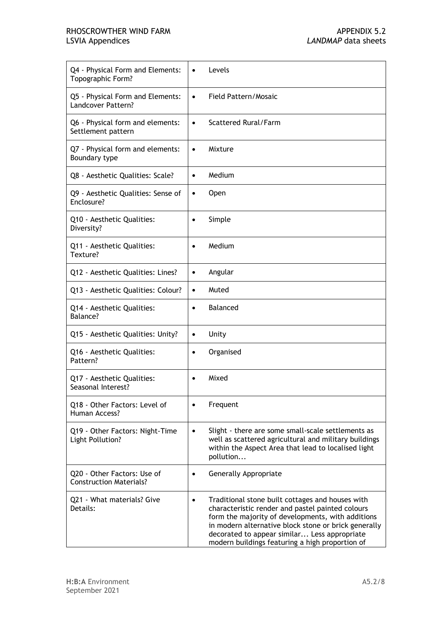#### RHOSCROWTHER WIND FARM **APPENDIX 5.2** LSVIA Appendices *LANDMAP* data sheets

| Q4 - Physical Form and Elements:                    | Levels                                                                                                                                                                                                                                                                                                               |
|-----------------------------------------------------|----------------------------------------------------------------------------------------------------------------------------------------------------------------------------------------------------------------------------------------------------------------------------------------------------------------------|
| Topographic Form?                                   | $\bullet$                                                                                                                                                                                                                                                                                                            |
| Q5 - Physical Form and Elements:                    | Field Pattern/Mosaic                                                                                                                                                                                                                                                                                                 |
| Landcover Pattern?                                  | $\bullet$                                                                                                                                                                                                                                                                                                            |
| Q6 - Physical form and elements:                    | Scattered Rural/Farm                                                                                                                                                                                                                                                                                                 |
| Settlement pattern                                  | $\bullet$                                                                                                                                                                                                                                                                                                            |
| Q7 - Physical form and elements:                    | Mixture                                                                                                                                                                                                                                                                                                              |
| Boundary type                                       | $\bullet$                                                                                                                                                                                                                                                                                                            |
| Q8 - Aesthetic Qualities: Scale?                    | Medium<br>$\bullet$                                                                                                                                                                                                                                                                                                  |
| Q9 - Aesthetic Qualities: Sense of                  | Open                                                                                                                                                                                                                                                                                                                 |
| Enclosure?                                          | $\bullet$                                                                                                                                                                                                                                                                                                            |
| Q10 - Aesthetic Qualities:                          | Simple                                                                                                                                                                                                                                                                                                               |
| Diversity?                                          | $\bullet$                                                                                                                                                                                                                                                                                                            |
| Q11 - Aesthetic Qualities:                          | Medium                                                                                                                                                                                                                                                                                                               |
| Texture?                                            | $\bullet$                                                                                                                                                                                                                                                                                                            |
| Q12 - Aesthetic Qualities: Lines?                   | Angular<br>$\bullet$                                                                                                                                                                                                                                                                                                 |
| Q13 - Aesthetic Qualities: Colour?                  | Muted<br>$\bullet$                                                                                                                                                                                                                                                                                                   |
| Q14 - Aesthetic Qualities:                          | <b>Balanced</b>                                                                                                                                                                                                                                                                                                      |
| Balance?                                            | $\bullet$                                                                                                                                                                                                                                                                                                            |
| Q15 - Aesthetic Qualities: Unity?                   | Unity<br>$\bullet$                                                                                                                                                                                                                                                                                                   |
| Q16 - Aesthetic Qualities:                          | Organised                                                                                                                                                                                                                                                                                                            |
| Pattern?                                            | $\bullet$                                                                                                                                                                                                                                                                                                            |
| Q17 - Aesthetic Qualities:<br>Seasonal Interest?    | Mixed                                                                                                                                                                                                                                                                                                                |
| Q18 - Other Factors: Level of<br>Human Access?      | Frequent                                                                                                                                                                                                                                                                                                             |
| Q19 - Other Factors: Night-Time<br>Light Pollution? | Slight - there are some small-scale settlements as<br>$\bullet$<br>well as scattered agricultural and military buildings<br>within the Aspect Area that lead to localised light<br>pollution                                                                                                                         |
| Q20 - Other Factors: Use of                         | <b>Generally Appropriate</b>                                                                                                                                                                                                                                                                                         |
| <b>Construction Materials?</b>                      | $\bullet$                                                                                                                                                                                                                                                                                                            |
| Q21 - What materials? Give<br>Details:              | Traditional stone built cottages and houses with<br>characteristic render and pastel painted colours<br>form the majority of developments, with additions<br>in modern alternative block stone or brick generally<br>decorated to appear similar Less appropriate<br>modern buildings featuring a high proportion of |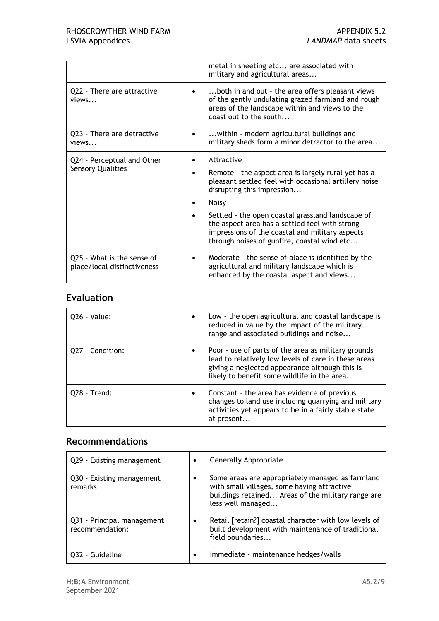|                                                           | metal in sheeting etc are associated with<br>military and agricultural areas                                                                                                                          |
|-----------------------------------------------------------|-------------------------------------------------------------------------------------------------------------------------------------------------------------------------------------------------------|
| Q22 - There are attractive<br>views                       | both in and out - the area offers pleasant views<br>of the gently undulating grazed farmland and rough<br>areas of the landscape within and views to the<br>coast out to the south                    |
| Q23 - There are detractive<br>views                       | within - modern agricultural buildings and<br>٠<br>military sheds form a minor detractor to the area                                                                                                  |
| Q24 - Perceptual and Other<br><b>Sensory Qualities</b>    | Attractive<br>Remote - the aspect area is largely rural yet has a<br>pleasant settled feel with occasional artillery noise<br>disrupting this impression                                              |
|                                                           | Noisy                                                                                                                                                                                                 |
|                                                           | Settled - the open coastal grassland landscape of<br>the aspect area has a settled feel with strong<br>impressions of the coastal and military aspects<br>through noises of gunfire, coastal wind etc |
| Q25 - What is the sense of<br>place/local distinctiveness | Moderate - the sense of place is identified by the<br>٠<br>agricultural and military landscape which is<br>enhanced by the coastal aspect and views                                                   |

| 026 - Value:     | Low - the open agricultural and coastal landscape is<br>reduced in value by the impact of the military<br>range and associated buildings and noise                                                           |
|------------------|--------------------------------------------------------------------------------------------------------------------------------------------------------------------------------------------------------------|
| Q27 - Condition: | Poor - use of parts of the area as military grounds<br>lead to relatively low levels of care in these areas<br>giving a neglected appearance although this is<br>likely to benefit some wildlife in the area |
| 028 - Trend:     | Constant - the area has evidence of previous<br>changes to land use including quarrying and military<br>activities yet appears to be in a fairly stable state<br>at present                                  |

#### **Recommendations**

| Q29 - Existing management                     | Generally Appropriate<br>$\bullet$                                                                                                                                         |
|-----------------------------------------------|----------------------------------------------------------------------------------------------------------------------------------------------------------------------------|
| Q30 - Existing management<br>remarks:         | Some areas are appropriately managed as farmland<br>with small villages, some having attractive<br>buildings retained Areas of the military range are<br>less well managed |
| Q31 - Principal management<br>recommendation: | Retail [retain?] coastal character with low levels of<br>built development with maintenance of traditional<br>field boundaries                                             |
| Q32 - Guideline                               | Immediate - maintenance hedges/walls<br>٠                                                                                                                                  |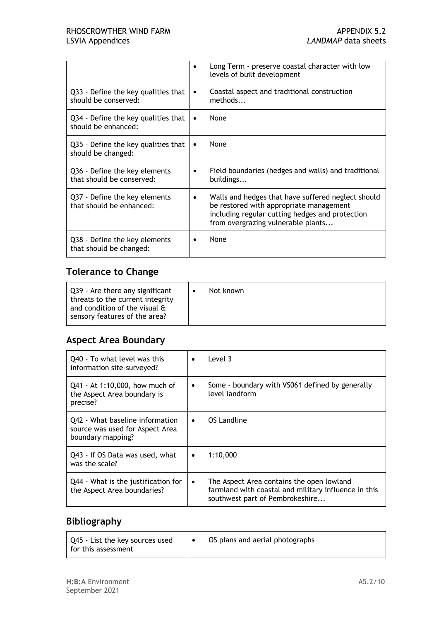|                                                             | Long Term - preserve coastal character with low<br>levels of built development                                                                                                         |
|-------------------------------------------------------------|----------------------------------------------------------------------------------------------------------------------------------------------------------------------------------------|
| Q33 - Define the key qualities that<br>should be conserved: | Coastal aspect and traditional construction<br>٠<br>methods                                                                                                                            |
| Q34 - Define the key qualities that<br>should be enhanced:  | None<br>٠                                                                                                                                                                              |
| Q35 - Define the key qualities that<br>should be changed:   | None<br>٠                                                                                                                                                                              |
| Q36 - Define the key elements<br>that should be conserved:  | Field boundaries (hedges and walls) and traditional<br>buildings                                                                                                                       |
| Q37 - Define the key elements<br>that should be enhanced:   | Walls and hedges that have suffered neglect should<br>be restored with appropriate management<br>including regular cutting hedges and protection<br>from overgrazing vulnerable plants |
| Q38 - Define the key elements<br>that should be changed:    | None                                                                                                                                                                                   |

## **Tolerance to Change**

| Q39 - Are there any significant<br>threats to the current integrity<br>and condition of the visual &<br>sensory features of the area? | Not known |
|---------------------------------------------------------------------------------------------------------------------------------------|-----------|
|                                                                                                                                       |           |

## **Aspect Area Boundary**

| Q40 - To what level was this<br>information site-surveyed?                              | ٠         | Level 3                                                                                                                              |
|-----------------------------------------------------------------------------------------|-----------|--------------------------------------------------------------------------------------------------------------------------------------|
| Q41 - At 1:10,000, how much of<br>the Aspect Area boundary is<br>precise?               | ٠         | Some - boundary with VS061 defined by generally<br>level landform                                                                    |
| Q42 - What baseline information<br>source was used for Aspect Area<br>boundary mapping? | $\bullet$ | OS Landline                                                                                                                          |
| Q43 - If OS Data was used, what<br>was the scale?                                       | $\bullet$ | 1:10,000                                                                                                                             |
| Q44 - What is the justification for<br>the Aspect Area boundaries?                      | $\bullet$ | The Aspect Area contains the open lowland<br>farmland with coastal and military influence in this<br>southwest part of Pembrokeshire |

#### **Bibliography**

| Q45 - List the key sources used<br>for this assessment |  | OS plans and aerial photographs |
|--------------------------------------------------------|--|---------------------------------|
|--------------------------------------------------------|--|---------------------------------|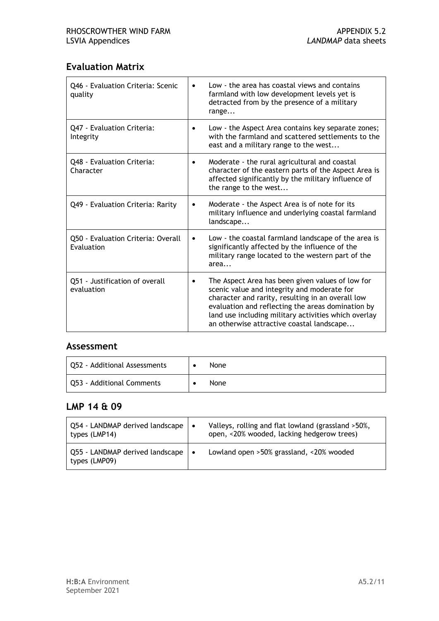#### **Evaluation Matrix**

| Q46 - Evaluation Criteria: Scenic<br>quality     | Low - the area has coastal views and contains<br>$\bullet$<br>farmland with low development levels yet is<br>detracted from by the presence of a military<br>range                                                                                                                                             |
|--------------------------------------------------|----------------------------------------------------------------------------------------------------------------------------------------------------------------------------------------------------------------------------------------------------------------------------------------------------------------|
| Q47 - Evaluation Criteria:<br>Integrity          | Low - the Aspect Area contains key separate zones;<br>$\bullet$<br>with the farmland and scattered settlements to the<br>east and a military range to the west                                                                                                                                                 |
| Q48 - Evaluation Criteria:<br>Character          | Moderate - the rural agricultural and coastal<br>$\bullet$<br>character of the eastern parts of the Aspect Area is<br>affected significantly by the military influence of<br>the range to the west                                                                                                             |
| Q49 - Evaluation Criteria: Rarity                | Moderate - the Aspect Area is of note for its<br>٠<br>military influence and underlying coastal farmland<br>landscape                                                                                                                                                                                          |
| Q50 - Evaluation Criteria: Overall<br>Evaluation | Low - the coastal farmland landscape of the area is<br>٠<br>significantly affected by the influence of the<br>military range located to the western part of the<br>area                                                                                                                                        |
| Q51 - Justification of overall<br>evaluation     | The Aspect Area has been given values of low for<br>scenic value and integrity and moderate for<br>character and rarity, resulting in an overall low<br>evaluation and reflecting the areas domination by<br>land use including military activities which overlay<br>an otherwise attractive coastal landscape |

#### **Assessment**

| Q52 - Additional Assessments | <b>None</b> |
|------------------------------|-------------|
| Q53 - Additional Comments    | <b>None</b> |

#### **LMP 14 & 09**

| Q54 - LANDMAP derived landscape<br>types (LMP14) | $\bullet$ | Valleys, rolling and flat lowland (grassland >50%,<br>open, <20% wooded, lacking hedgerow trees) |
|--------------------------------------------------|-----------|--------------------------------------------------------------------------------------------------|
| Q55 - LANDMAP derived landscape<br>types (LMP09) | $\bullet$ | Lowland open >50% grassland, <20% wooded                                                         |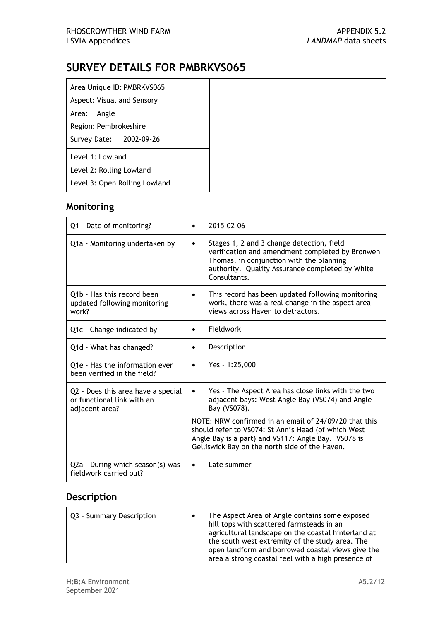| Area Unique ID: PMBRKVS065    |
|-------------------------------|
| Aspect: Visual and Sensory    |
| Angle<br>Area:                |
| Region: Pembrokeshire         |
| Survey Date: 2002-09-26       |
| Level 1: Lowland              |
| Level 2: Rolling Lowland      |
| Level 3: Open Rolling Lowland |

#### **Monitoring**

| Q1 - Date of monitoring?                                                           | 2015-02-06<br>$\bullet$                                                                                                                                                                                                  |  |
|------------------------------------------------------------------------------------|--------------------------------------------------------------------------------------------------------------------------------------------------------------------------------------------------------------------------|--|
| Q1a - Monitoring undertaken by                                                     | Stages 1, 2 and 3 change detection, field<br>$\bullet$<br>verification and amendment completed by Bronwen<br>Thomas, in conjunction with the planning<br>authority. Quality Assurance completed by White<br>Consultants. |  |
| Q1b - Has this record been<br>updated following monitoring<br>work?                | This record has been updated following monitoring<br>work, there was a real change in the aspect area -<br>views across Haven to detractors.                                                                             |  |
| Q1c - Change indicated by                                                          | Fieldwork<br>$\bullet$                                                                                                                                                                                                   |  |
| Q1d - What has changed?                                                            | Description<br>$\bullet$                                                                                                                                                                                                 |  |
| Q1e - Has the information ever<br>been verified in the field?                      | Yes - 1:25,000<br>$\bullet$                                                                                                                                                                                              |  |
| Q2 - Does this area have a special<br>or functional link with an<br>adjacent area? | Yes - The Aspect Area has close links with the two<br>adjacent bays: West Angle Bay (VS074) and Angle<br>Bay (VS078).                                                                                                    |  |
|                                                                                    | NOTE: NRW confirmed in an email of 24/09/20 that this<br>should refer to VS074: St Ann's Head (of which West<br>Angle Bay is a part) and VS117: Angle Bay. VS078 is<br>Gelliswick Bay on the north side of the Haven.    |  |
| Q2a - During which season(s) was<br>fieldwork carried out?                         | Late summer<br>$\bullet$                                                                                                                                                                                                 |  |

| Q3 - Summary Description | The Aspect Area of Angle contains some exposed<br>hill tops with scattered farmsteads in an<br>agricultural landscape on the coastal hinterland at<br>the south west extremity of the study area. The<br>open landform and borrowed coastal views give the<br>area a strong coastal feel with a high presence of |
|--------------------------|------------------------------------------------------------------------------------------------------------------------------------------------------------------------------------------------------------------------------------------------------------------------------------------------------------------|
|--------------------------|------------------------------------------------------------------------------------------------------------------------------------------------------------------------------------------------------------------------------------------------------------------------------------------------------------------|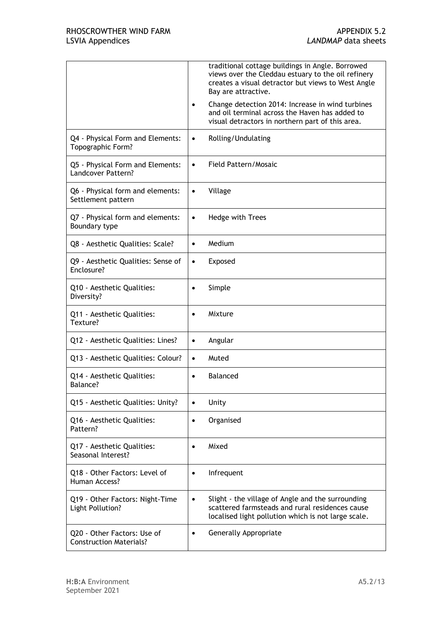|                                                     | traditional cottage buildings in Angle. Borrowed<br>views over the Cleddau estuary to the oil refinery<br>creates a visual detractor but views to West Angle<br>Bay are attractive.<br>Change detection 2014: Increase in wind turbines<br>$\bullet$<br>and oil terminal across the Haven has added to |
|-----------------------------------------------------|--------------------------------------------------------------------------------------------------------------------------------------------------------------------------------------------------------------------------------------------------------------------------------------------------------|
|                                                     | visual detractors in northern part of this area.                                                                                                                                                                                                                                                       |
| Q4 - Physical Form and Elements:                    | Rolling/Undulating                                                                                                                                                                                                                                                                                     |
| Topographic Form?                                   | ٠                                                                                                                                                                                                                                                                                                      |
| Q5 - Physical Form and Elements:                    | Field Pattern/Mosaic                                                                                                                                                                                                                                                                                   |
| Landcover Pattern?                                  | $\bullet$                                                                                                                                                                                                                                                                                              |
| Q6 - Physical form and elements:                    | Village                                                                                                                                                                                                                                                                                                |
| Settlement pattern                                  | $\bullet$                                                                                                                                                                                                                                                                                              |
| Q7 - Physical form and elements:                    | Hedge with Trees                                                                                                                                                                                                                                                                                       |
| Boundary type                                       | $\bullet$                                                                                                                                                                                                                                                                                              |
| Q8 - Aesthetic Qualities: Scale?                    | Medium<br>$\bullet$                                                                                                                                                                                                                                                                                    |
| Q9 - Aesthetic Qualities: Sense of                  | Exposed                                                                                                                                                                                                                                                                                                |
| Enclosure?                                          | $\bullet$                                                                                                                                                                                                                                                                                              |
| Q10 - Aesthetic Qualities:                          | Simple                                                                                                                                                                                                                                                                                                 |
| Diversity?                                          | $\bullet$                                                                                                                                                                                                                                                                                              |
| Q11 - Aesthetic Qualities:                          | Mixture                                                                                                                                                                                                                                                                                                |
| Texture?                                            | $\bullet$                                                                                                                                                                                                                                                                                              |
| Q12 - Aesthetic Qualities: Lines?                   | Angular<br>$\bullet$                                                                                                                                                                                                                                                                                   |
| Q13 - Aesthetic Qualities: Colour?                  | Muted<br>$\bullet$                                                                                                                                                                                                                                                                                     |
| Q14 - Aesthetic Qualities:                          | <b>Balanced</b>                                                                                                                                                                                                                                                                                        |
| Balance?                                            | $\bullet$                                                                                                                                                                                                                                                                                              |
| Q15 - Aesthetic Qualities: Unity?                   | Unity<br>$\bullet$                                                                                                                                                                                                                                                                                     |
| Q16 - Aesthetic Qualities:                          | Organised                                                                                                                                                                                                                                                                                              |
| Pattern?                                            | $\bullet$                                                                                                                                                                                                                                                                                              |
| Q17 - Aesthetic Qualities:                          | Mixed                                                                                                                                                                                                                                                                                                  |
| Seasonal Interest?                                  | $\bullet$                                                                                                                                                                                                                                                                                              |
| Q18 - Other Factors: Level of                       | Infrequent                                                                                                                                                                                                                                                                                             |
| Human Access?                                       | $\bullet$                                                                                                                                                                                                                                                                                              |
| Q19 - Other Factors: Night-Time<br>Light Pollution? | Slight - the village of Angle and the surrounding<br>$\bullet$<br>scattered farmsteads and rural residences cause<br>localised light pollution which is not large scale.                                                                                                                               |
| Q20 - Other Factors: Use of                         | Generally Appropriate                                                                                                                                                                                                                                                                                  |
| <b>Construction Materials?</b>                      | $\bullet$                                                                                                                                                                                                                                                                                              |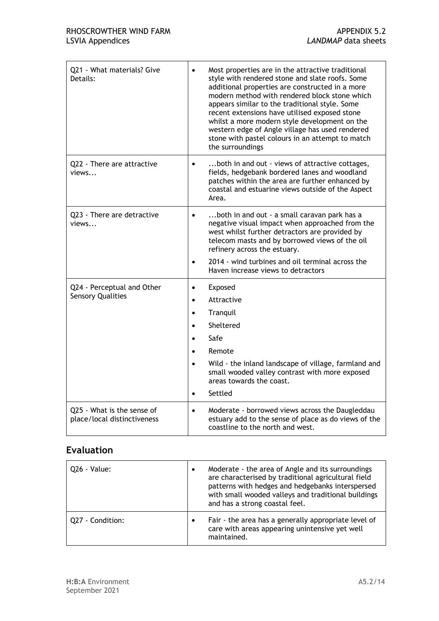| Q21 - What materials? Give<br>Details:                    | Most properties are in the attractive traditional<br>style with rendered stone and slate roofs. Some<br>additional properties are constructed in a more<br>modern method with rendered block stone which<br>appears similar to the traditional style. Some<br>recent extensions have utilised exposed stone<br>whilst a more modern style development on the<br>western edge of Angle village has used rendered<br>stone with pastel colours in an attempt to match<br>the surroundings |
|-----------------------------------------------------------|-----------------------------------------------------------------------------------------------------------------------------------------------------------------------------------------------------------------------------------------------------------------------------------------------------------------------------------------------------------------------------------------------------------------------------------------------------------------------------------------|
| Q22 - There are attractive<br>views                       | both in and out - views of attractive cottages,<br>$\bullet$<br>fields, hedgebank bordered lanes and woodland<br>patches within the area are further enhanced by<br>coastal and estuarine views outside of the Aspect<br>Area.                                                                                                                                                                                                                                                          |
| Q23 - There are detractive<br>views                       | both in and out - a small caravan park has a<br>$\bullet$<br>negative visual impact when approached from the<br>west whilst further detractors are provided by<br>telecom masts and by borrowed views of the oil<br>refinery across the estuary.<br>2014 - wind turbines and oil terminal across the<br>Haven increase views to detractors                                                                                                                                              |
| Q24 - Perceptual and Other<br><b>Sensory Qualities</b>    | Exposed<br>$\bullet$<br>Attractive<br>$\bullet$<br>Tranquil<br>$\bullet$<br>Sheltered<br>Safe<br>Remote<br>Wild - the inland landscape of village, farmland and<br>$\bullet$<br>small wooded valley contrast with more exposed<br>areas towards the coast.<br>Settled<br>$\bullet$                                                                                                                                                                                                      |
| Q25 - What is the sense of<br>place/local distinctiveness | Moderate - borrowed views across the Daugleddau<br>$\bullet$<br>estuary add to the sense of place as do views of the<br>coastline to the north and west.                                                                                                                                                                                                                                                                                                                                |

| Q26 - Value:     | $\bullet$ | Moderate - the area of Angle and its surroundings<br>are characterised by traditional agricultural field<br>patterns with hedges and hedgebanks interspersed<br>with small wooded valleys and traditional buildings<br>and has a strong coastal feel. |
|------------------|-----------|-------------------------------------------------------------------------------------------------------------------------------------------------------------------------------------------------------------------------------------------------------|
| Q27 - Condition: | $\bullet$ | Fair - the area has a generally appropriate level of<br>care with areas appearing unintensive yet well<br>maintained.                                                                                                                                 |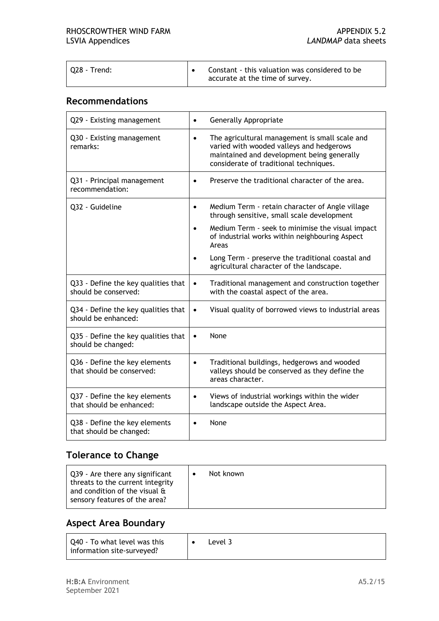| 028 - Trend: |  | Constant - this valuation was considered to be<br>accurate at the time of survey. |
|--------------|--|-----------------------------------------------------------------------------------|
|--------------|--|-----------------------------------------------------------------------------------|

#### **Recommendations**

| Q29 - Existing management                                   | Generally Appropriate<br>$\bullet$                                                                                                                                                              |
|-------------------------------------------------------------|-------------------------------------------------------------------------------------------------------------------------------------------------------------------------------------------------|
| Q30 - Existing management<br>remarks:                       | The agricultural management is small scale and<br>$\bullet$<br>varied with wooded valleys and hedgerows<br>maintained and development being generally<br>considerate of traditional techniques. |
| Q31 - Principal management<br>recommendation:               | Preserve the traditional character of the area.<br>$\bullet$                                                                                                                                    |
| Q32 - Guideline                                             | Medium Term - retain character of Angle village<br>$\bullet$<br>through sensitive, small scale development                                                                                      |
|                                                             | Medium Term - seek to minimise the visual impact<br>$\bullet$<br>of industrial works within neighbouring Aspect<br>Areas                                                                        |
|                                                             | Long Term - preserve the traditional coastal and<br>agricultural character of the landscape.                                                                                                    |
| Q33 - Define the key qualities that<br>should be conserved: | Traditional management and construction together<br>$\bullet$<br>with the coastal aspect of the area.                                                                                           |
| Q34 - Define the key qualities that<br>should be enhanced:  | Visual quality of borrowed views to industrial areas<br>$\bullet$                                                                                                                               |
| Q35 - Define the key qualities that<br>should be changed:   | None<br>$\bullet$                                                                                                                                                                               |
| Q36 - Define the key elements<br>that should be conserved:  | Traditional buildings, hedgerows and wooded<br>$\bullet$<br>valleys should be conserved as they define the<br>areas character.                                                                  |
| Q37 - Define the key elements<br>that should be enhanced:   | Views of industrial workings within the wider<br>$\bullet$<br>landscape outside the Aspect Area.                                                                                                |
| Q38 - Define the key elements<br>that should be changed:    | None<br>$\bullet$                                                                                                                                                                               |

#### **Tolerance to Change**

#### **Aspect Area Boundary**

| Q40 - To what level was this<br>information site-surveyed? |  | Level 3 |
|------------------------------------------------------------|--|---------|
|------------------------------------------------------------|--|---------|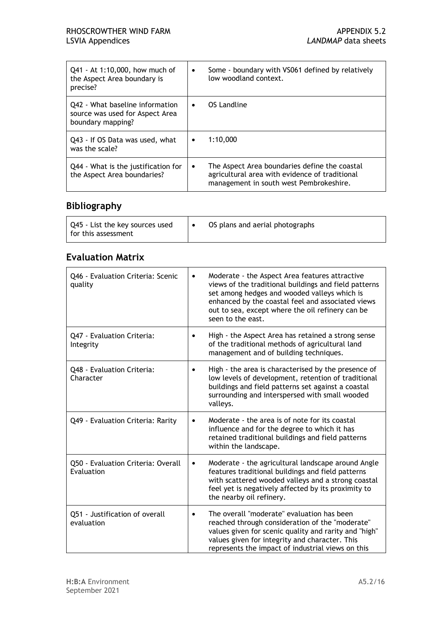| Q41 - At 1:10,000, how much of                                                          | Some - boundary with VS061 defined by relatively                                                                                                        |
|-----------------------------------------------------------------------------------------|---------------------------------------------------------------------------------------------------------------------------------------------------------|
| the Aspect Area boundary is                                                             | $\bullet$                                                                                                                                               |
| precise?                                                                                | low woodland context.                                                                                                                                   |
| Q42 - What baseline information<br>source was used for Aspect Area<br>boundary mapping? | OS Landline<br>$\bullet$                                                                                                                                |
| Q43 - If OS Data was used, what                                                         | 1:10.000                                                                                                                                                |
| was the scale?                                                                          | $\bullet$                                                                                                                                               |
| Q44 - What is the justification for<br>the Aspect Area boundaries?                      | The Aspect Area boundaries define the coastal<br>$\bullet$<br>agricultural area with evidence of traditional<br>management in south west Pembrokeshire. |

#### **Bibliography**

| Q45 - List the key sources used<br>I for this assessment | OS plans and aerial photographs |
|----------------------------------------------------------|---------------------------------|
|----------------------------------------------------------|---------------------------------|

#### **Evaluation Matrix**

| Q46 - Evaluation Criteria: Scenic<br>quality     | Moderate - the Aspect Area features attractive<br>$\bullet$<br>views of the traditional buildings and field patterns<br>set among hedges and wooded valleys which is<br>enhanced by the coastal feel and associated views<br>out to sea, except where the oil refinery can be<br>seen to the east. |
|--------------------------------------------------|----------------------------------------------------------------------------------------------------------------------------------------------------------------------------------------------------------------------------------------------------------------------------------------------------|
| Q47 - Evaluation Criteria:<br>Integrity          | High - the Aspect Area has retained a strong sense<br>of the traditional methods of agricultural land<br>management and of building techniques.                                                                                                                                                    |
| Q48 - Evaluation Criteria:<br>Character          | High - the area is characterised by the presence of<br>$\bullet$<br>low levels of development, retention of traditional<br>buildings and field patterns set against a coastal<br>surrounding and interspersed with small wooded<br>valleys.                                                        |
| Q49 - Evaluation Criteria: Rarity                | Moderate - the area is of note for its coastal<br>$\bullet$<br>influence and for the degree to which it has<br>retained traditional buildings and field patterns<br>within the landscape.                                                                                                          |
| Q50 - Evaluation Criteria: Overall<br>Evaluation | Moderate - the agricultural landscape around Angle<br>٠<br>features traditional buildings and field patterns<br>with scattered wooded valleys and a strong coastal<br>feel yet is negatively affected by its proximity to<br>the nearby oil refinery.                                              |
| Q51 - Justification of overall<br>evaluation     | The overall "moderate" evaluation has been<br>$\bullet$<br>reached through consideration of the "moderate"<br>values given for scenic quality and rarity and "high"<br>values given for integrity and character. This<br>represents the impact of industrial views on this                         |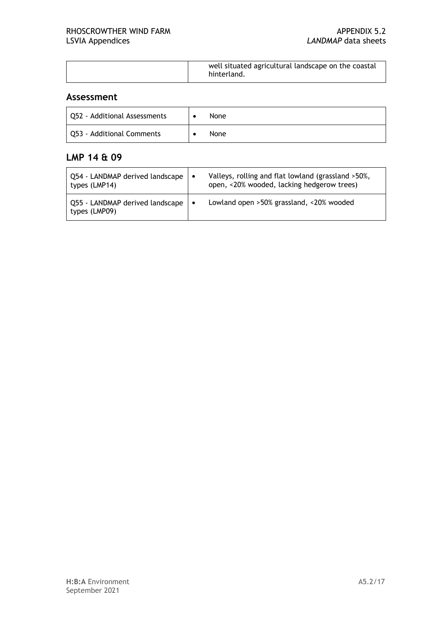#### **Assessment**

| Q52 - Additional Assessments | None        |
|------------------------------|-------------|
| Q53 - Additional Comments    | <b>None</b> |

#### **LMP 14 & 09**

| Q54 - LANDMAP derived landscape<br>types (LMP14) | $\bullet$ | Valleys, rolling and flat lowland (grassland >50%,<br>open, <20% wooded, lacking hedgerow trees) |
|--------------------------------------------------|-----------|--------------------------------------------------------------------------------------------------|
| Q55 - LANDMAP derived landscape<br>types (LMP09) | $\bullet$ | Lowland open >50% grassland, <20% wooded                                                         |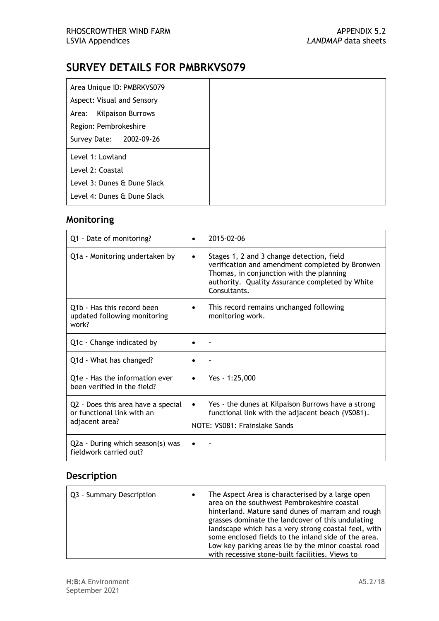| Area Unique ID: PMBRKVS079  |
|-----------------------------|
| Aspect: Visual and Sensory  |
|                             |
| Area: Kilpaison Burrows     |
| Region: Pembrokeshire       |
| Survey Date: 2002-09-26     |
|                             |
| Level 1: Lowland            |
| Level 2: Coastal            |
|                             |
| Level 3: Dunes & Dune Slack |
|                             |
| Level 4: Dunes & Dune Slack |

## **Monitoring**

| Q1 - Date of monitoring?                                                           | 2015-02-06                                                                                                                                                                                                       |
|------------------------------------------------------------------------------------|------------------------------------------------------------------------------------------------------------------------------------------------------------------------------------------------------------------|
| Q1a - Monitoring undertaken by                                                     | Stages 1, 2 and 3 change detection, field<br>٠<br>verification and amendment completed by Bronwen<br>Thomas, in conjunction with the planning<br>authority. Quality Assurance completed by White<br>Consultants. |
| Q1b - Has this record been<br>updated following monitoring<br>work?                | This record remains unchanged following<br>٠<br>monitoring work.                                                                                                                                                 |
| Q1c - Change indicated by                                                          |                                                                                                                                                                                                                  |
| Q1d - What has changed?                                                            |                                                                                                                                                                                                                  |
| Q1e - Has the information ever<br>been verified in the field?                      | Yes - 1:25,000<br>$\bullet$                                                                                                                                                                                      |
| Q2 - Does this area have a special<br>or functional link with an<br>adjacent area? | Yes - the dunes at Kilpaison Burrows have a strong<br>functional link with the adjacent beach (VS081).<br>NOTE: VS081: Frainslake Sands                                                                          |
| Q2a - During which season(s) was<br>fieldwork carried out?                         |                                                                                                                                                                                                                  |

| Q3 - Summary Description | The Aspect Area is characterised by a large open<br>area on the southwest Pembrokeshire coastal<br>hinterland. Mature sand dunes of marram and rough<br>grasses dominate the landcover of this undulating<br>landscape which has a very strong coastal feel, with<br>some enclosed fields to the inland side of the area. |
|--------------------------|---------------------------------------------------------------------------------------------------------------------------------------------------------------------------------------------------------------------------------------------------------------------------------------------------------------------------|
|                          | Low key parking areas lie by the minor coastal road                                                                                                                                                                                                                                                                       |
|                          | with recessive stone-built facilities. Views to                                                                                                                                                                                                                                                                           |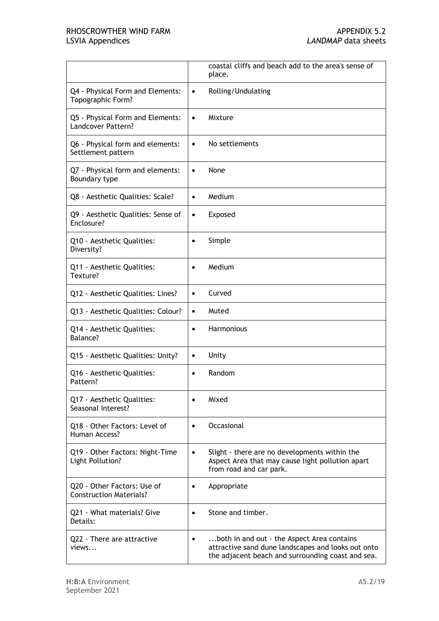|                                                               | coastal cliffs and beach add to the area's sense of<br>place.                                                                                                      |
|---------------------------------------------------------------|--------------------------------------------------------------------------------------------------------------------------------------------------------------------|
| Q4 - Physical Form and Elements:                              | Rolling/Undulating                                                                                                                                                 |
| Topographic Form?                                             | $\bullet$                                                                                                                                                          |
| Q5 - Physical Form and Elements:                              | Mixture                                                                                                                                                            |
| Landcover Pattern?                                            | $\bullet$                                                                                                                                                          |
| Q6 - Physical form and elements:                              | No settlements                                                                                                                                                     |
| Settlement pattern                                            | $\bullet$                                                                                                                                                          |
| Q7 - Physical form and elements:                              | None                                                                                                                                                               |
| Boundary type                                                 | $\bullet$                                                                                                                                                          |
| Q8 - Aesthetic Qualities: Scale?                              | Medium<br>$\bullet$                                                                                                                                                |
| Q9 - Aesthetic Qualities: Sense of                            | Exposed                                                                                                                                                            |
| Enclosure?                                                    | $\bullet$                                                                                                                                                          |
| Q10 - Aesthetic Qualities:                                    | Simple                                                                                                                                                             |
| Diversity?                                                    | $\bullet$                                                                                                                                                          |
| Q11 - Aesthetic Qualities:                                    | Medium                                                                                                                                                             |
| Texture?                                                      | $\bullet$                                                                                                                                                          |
| Q12 - Aesthetic Qualities: Lines?                             | Curved<br>$\bullet$                                                                                                                                                |
| Q13 - Aesthetic Qualities: Colour?                            | Muted<br>$\bullet$                                                                                                                                                 |
| Q14 - Aesthetic Qualities:                                    | Harmonious                                                                                                                                                         |
| Balance?                                                      | $\bullet$                                                                                                                                                          |
| Q15 - Aesthetic Qualities: Unity?                             | Unity<br>$\bullet$                                                                                                                                                 |
| Q16 - Aesthetic Qualities:                                    | Random                                                                                                                                                             |
| Pattern?                                                      | $\bullet$                                                                                                                                                          |
| Q17 - Aesthetic Qualities:<br>Seasonal Interest?              | Mixed                                                                                                                                                              |
| Q18 - Other Factors: Level of                                 | Occasional                                                                                                                                                         |
| Human Access?                                                 | $\bullet$                                                                                                                                                          |
| Q19 - Other Factors: Night-Time<br>Light Pollution?           | Slight - there are no developments within the<br>$\bullet$<br>Aspect Area that may cause light pollution apart<br>from road and car park.                          |
| Q20 - Other Factors: Use of<br><b>Construction Materials?</b> | Appropriate                                                                                                                                                        |
| Q21 - What materials? Give                                    | Stone and timber.                                                                                                                                                  |
| Details:                                                      | $\bullet$                                                                                                                                                          |
| Q22 - There are attractive<br>views                           | both in and out - the Aspect Area contains<br>$\bullet$<br>attractive sand dune landscapes and looks out onto<br>the adjacent beach and surrounding coast and sea. |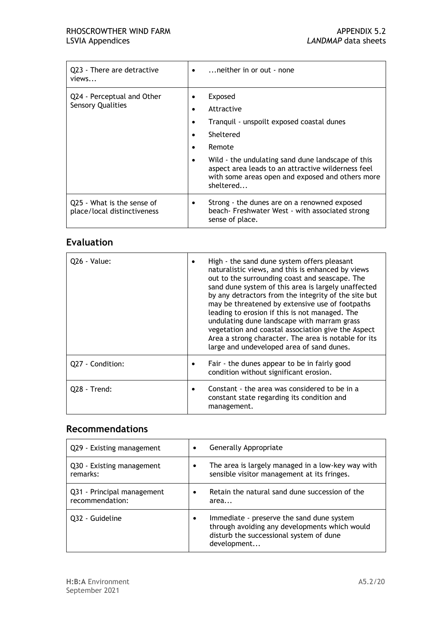| Q23 - There are detractive<br>views                       | neither in or out - none<br>٠                                                                                                                                                                                                                                         |
|-----------------------------------------------------------|-----------------------------------------------------------------------------------------------------------------------------------------------------------------------------------------------------------------------------------------------------------------------|
| Q24 - Perceptual and Other<br><b>Sensory Qualities</b>    | Exposed<br>Attractive<br>Tranguil - unspoilt exposed coastal dunes<br>Sheltered<br>Remote<br>Wild - the undulating sand dune landscape of this<br>aspect area leads to an attractive wilderness feel<br>with some areas open and exposed and others more<br>sheltered |
| Q25 - What is the sense of<br>place/local distinctiveness | Strong - the dunes are on a renowned exposed<br>beach- Freshwater West - with associated strong<br>sense of place.                                                                                                                                                    |

| 026 - Value:     | High - the sand dune system offers pleasant<br>naturalistic views, and this is enhanced by views<br>out to the surrounding coast and seascape. The<br>sand dune system of this area is largely unaffected<br>by any detractors from the integrity of the site but<br>may be threatened by extensive use of footpaths<br>leading to erosion if this is not managed. The<br>undulating dune landscape with marram grass<br>vegetation and coastal association give the Aspect<br>Area a strong character. The area is notable for its<br>large and undeveloped area of sand dunes. |
|------------------|----------------------------------------------------------------------------------------------------------------------------------------------------------------------------------------------------------------------------------------------------------------------------------------------------------------------------------------------------------------------------------------------------------------------------------------------------------------------------------------------------------------------------------------------------------------------------------|
| Q27 - Condition: | Fair - the dunes appear to be in fairly good<br>condition without significant erosion.                                                                                                                                                                                                                                                                                                                                                                                                                                                                                           |
| Q28 - Trend:     | Constant - the area was considered to be in a<br>constant state regarding its condition and<br>management.                                                                                                                                                                                                                                                                                                                                                                                                                                                                       |

#### **Recommendations**

| Q29 - Existing management                     | Generally Appropriate<br>$\bullet$                                                                                                                        |
|-----------------------------------------------|-----------------------------------------------------------------------------------------------------------------------------------------------------------|
| Q30 - Existing management<br>remarks:         | The area is largely managed in a low-key way with<br>sensible visitor management at its fringes.                                                          |
| Q31 - Principal management<br>recommendation: | Retain the natural sand dune succession of the<br>area                                                                                                    |
| 032 - Guideline                               | Immediate - preserve the sand dune system<br>٠<br>through avoiding any developments which would<br>disturb the successional system of dune<br>development |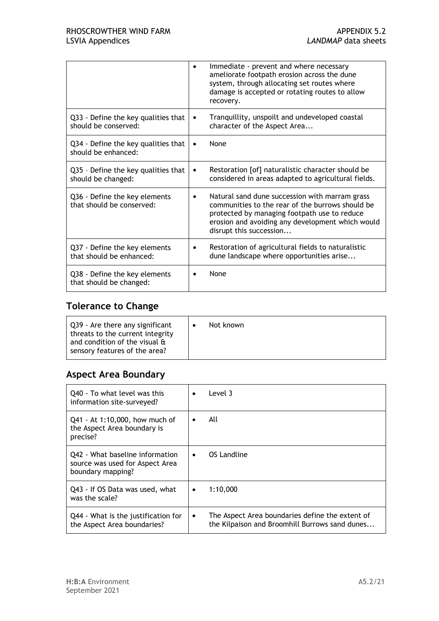|                                                             |           | Immediate - prevent and where necessary<br>ameliorate footpath erosion across the dune<br>system, through allocating set routes where<br>damage is accepted or rotating routes to allow<br>recovery.                              |
|-------------------------------------------------------------|-----------|-----------------------------------------------------------------------------------------------------------------------------------------------------------------------------------------------------------------------------------|
| Q33 - Define the key qualities that<br>should be conserved: | $\bullet$ | Tranquillity, unspoilt and undeveloped coastal<br>character of the Aspect Area                                                                                                                                                    |
| Q34 - Define the key qualities that<br>should be enhanced:  |           | None                                                                                                                                                                                                                              |
| Q35 - Define the key qualities that<br>should be changed:   | ٠         | Restoration [of] naturalistic character should be<br>considered in areas adapted to agricultural fields.                                                                                                                          |
| Q36 - Define the key elements<br>that should be conserved:  |           | Natural sand dune succession with marram grass<br>communities to the rear of the burrows should be<br>protected by managing footpath use to reduce<br>erosion and avoiding any development which would<br>disrupt this succession |
| Q37 - Define the key elements<br>that should be enhanced:   |           | Restoration of agricultural fields to naturalistic<br>dune landscape where opportunities arise                                                                                                                                    |
| Q38 - Define the key elements<br>that should be changed:    |           | None                                                                                                                                                                                                                              |

## **Tolerance to Change**

| Q39 - Are there any significant<br>Not known<br>threats to the current integrity<br>and condition of the visual $\mathbf{\hat{a}}$<br>sensory features of the area? |  |
|---------------------------------------------------------------------------------------------------------------------------------------------------------------------|--|
|---------------------------------------------------------------------------------------------------------------------------------------------------------------------|--|

#### **Aspect Area Boundary**

| Q40 - To what level was this<br>information site-surveyed?                              | $\bullet$ | Level 3                                                                                           |
|-----------------------------------------------------------------------------------------|-----------|---------------------------------------------------------------------------------------------------|
| Q41 - At 1:10,000, how much of<br>the Aspect Area boundary is<br>precise?               |           | All                                                                                               |
| Q42 - What baseline information<br>source was used for Aspect Area<br>boundary mapping? | $\bullet$ | OS Landline                                                                                       |
| Q43 - If OS Data was used, what<br>was the scale?                                       | $\bullet$ | 1:10.000                                                                                          |
| Q44 - What is the justification for<br>the Aspect Area boundaries?                      | $\bullet$ | The Aspect Area boundaries define the extent of<br>the Kilpaison and Broomhill Burrows sand dunes |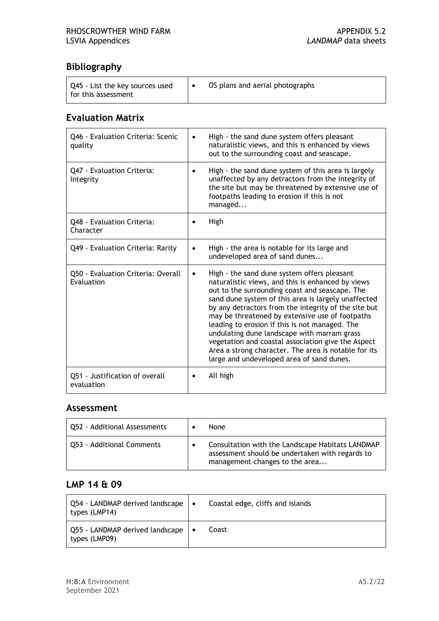## **Bibliography**

| Q45 - List the key sources used<br>I for this assessment | OS plans and aerial photographs |
|----------------------------------------------------------|---------------------------------|
|                                                          |                                 |

#### **Evaluation Matrix**

| Q46 - Evaluation Criteria: Scenic<br>quality     |           | High - the sand dune system offers pleasant<br>naturalistic views, and this is enhanced by views<br>out to the surrounding coast and seascape.                                                                                                                                                                                                                                                                                                                                                                                                                                   |
|--------------------------------------------------|-----------|----------------------------------------------------------------------------------------------------------------------------------------------------------------------------------------------------------------------------------------------------------------------------------------------------------------------------------------------------------------------------------------------------------------------------------------------------------------------------------------------------------------------------------------------------------------------------------|
| Q47 - Evaluation Criteria:<br>Integrity          |           | High - the sand dune system of this area is largely<br>unaffected by any detractors from the integrity of<br>the site but may be threatened by extensive use of<br>footpaths leading to erosion if this is not<br>managed                                                                                                                                                                                                                                                                                                                                                        |
| Q48 - Evaluation Criteria:<br>Character          |           | High                                                                                                                                                                                                                                                                                                                                                                                                                                                                                                                                                                             |
| Q49 - Evaluation Criteria: Rarity                |           | High - the area is notable for its large and<br>undeveloped area of sand dunes                                                                                                                                                                                                                                                                                                                                                                                                                                                                                                   |
| Q50 - Evaluation Criteria: Overall<br>Evaluation | $\bullet$ | High - the sand dune system offers pleasant<br>naturalistic views, and this is enhanced by views<br>out to the surrounding coast and seascape. The<br>sand dune system of this area is largely unaffected<br>by any detractors from the integrity of the site but<br>may be threatened by extensive use of footpaths<br>leading to erosion if this is not managed. The<br>undulating dune landscape with marram grass<br>vegetation and coastal association give the Aspect<br>Area a strong character. The area is notable for its<br>large and undeveloped area of sand dunes. |
| Q51 - Justification of overall<br>evaluation     |           | All high                                                                                                                                                                                                                                                                                                                                                                                                                                                                                                                                                                         |

#### **Assessment**

| Q52 - Additional Assessments | None                                                                                                                                  |
|------------------------------|---------------------------------------------------------------------------------------------------------------------------------------|
| Q53 - Additional Comments    | Consultation with the Landscape Habitats LANDMAP<br>assessment should be undertaken with regards to<br>management changes to the area |

#### **LMP 14 & 09**

| $\vert$ Q54 - LANDMAP derived landscape $\vert \bullet \vert$<br>types (LMP14) | Coastal edge, cliffs and islands |
|--------------------------------------------------------------------------------|----------------------------------|
| Q55 - LANDMAP derived landscape   •<br>types (LMP09)                           | Coast                            |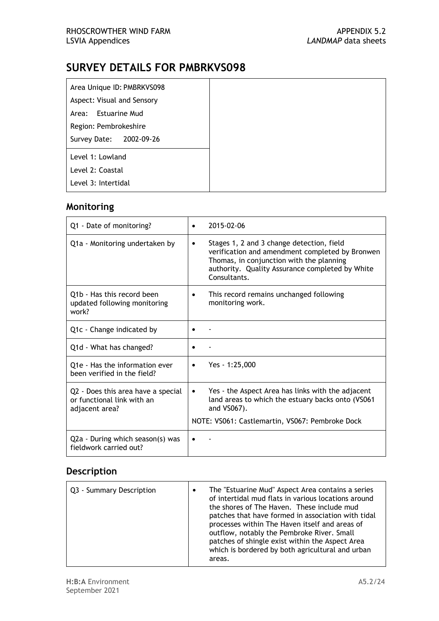| Area Unique ID: PMBRKVS098 |
|----------------------------|
| Aspect: Visual and Sensory |
| Area: Estuarine Mud        |
| Region: Pembrokeshire      |
| Survey Date: 2002-09-26    |
| Level 1: Lowland           |
| Level 2: Coastal           |
| Level 3: Intertidal        |

#### **Monitoring**

| Q1 - Date of monitoring?                                                           | 2015-02-06<br>$\bullet$                                                                                                                                                                                          |
|------------------------------------------------------------------------------------|------------------------------------------------------------------------------------------------------------------------------------------------------------------------------------------------------------------|
| Q1a - Monitoring undertaken by                                                     | Stages 1, 2 and 3 change detection, field<br>٠<br>verification and amendment completed by Bronwen<br>Thomas, in conjunction with the planning<br>authority. Quality Assurance completed by White<br>Consultants. |
| Q1b - Has this record been<br>updated following monitoring<br>work?                | This record remains unchanged following<br>$\bullet$<br>monitoring work.                                                                                                                                         |
| Q1c - Change indicated by                                                          |                                                                                                                                                                                                                  |
| Q1d - What has changed?                                                            |                                                                                                                                                                                                                  |
| Q1e - Has the information ever<br>been verified in the field?                      | Yes - 1:25,000<br>$\bullet$                                                                                                                                                                                      |
| Q2 - Does this area have a special<br>or functional link with an<br>adjacent area? | Yes - the Aspect Area has links with the adjacent<br>$\bullet$<br>land areas to which the estuary backs onto (VS061<br>and VS067).                                                                               |
|                                                                                    | NOTE: VS061: Castlemartin, VS067: Pembroke Dock                                                                                                                                                                  |
| Q2a - During which season(s) was<br>fieldwork carried out?                         |                                                                                                                                                                                                                  |

| Q3 - Summary Description | The "Estuarine Mud" Aspect Area contains a series<br>of intertidal mud flats in various locations around<br>the shores of The Haven. These include mud<br>patches that have formed in association with tidal<br>processes within The Haven itself and areas of<br>outflow, notably the Pembroke River. Small<br>patches of shingle exist within the Aspect Area<br>which is bordered by both agricultural and urban |
|--------------------------|---------------------------------------------------------------------------------------------------------------------------------------------------------------------------------------------------------------------------------------------------------------------------------------------------------------------------------------------------------------------------------------------------------------------|
|                          | areas.                                                                                                                                                                                                                                                                                                                                                                                                              |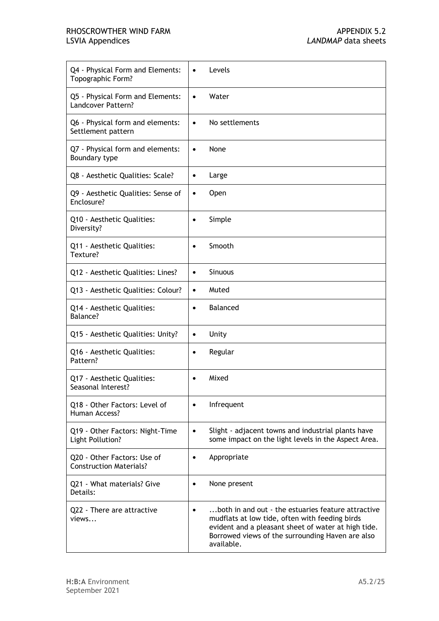## RHOSCROWTHER WIND FARM APPENDIX 5.2<br>
LANDMAP data sheets
APPENDIX 5.2

| Q4 - Physical Form and Elements:                    | Levels                                                                                                                                                                                                                        |
|-----------------------------------------------------|-------------------------------------------------------------------------------------------------------------------------------------------------------------------------------------------------------------------------------|
| Topographic Form?                                   | $\bullet$                                                                                                                                                                                                                     |
| Q5 - Physical Form and Elements:                    | Water                                                                                                                                                                                                                         |
| Landcover Pattern?                                  | $\bullet$                                                                                                                                                                                                                     |
| Q6 - Physical form and elements:                    | No settlements                                                                                                                                                                                                                |
| Settlement pattern                                  | $\bullet$                                                                                                                                                                                                                     |
| Q7 - Physical form and elements:                    | None                                                                                                                                                                                                                          |
| Boundary type                                       | $\bullet$                                                                                                                                                                                                                     |
| Q8 - Aesthetic Qualities: Scale?                    | Large<br>$\bullet$                                                                                                                                                                                                            |
| Q9 - Aesthetic Qualities: Sense of                  | Open                                                                                                                                                                                                                          |
| Enclosure?                                          | $\bullet$                                                                                                                                                                                                                     |
| Q10 - Aesthetic Qualities:                          | Simple                                                                                                                                                                                                                        |
| Diversity?                                          | $\bullet$                                                                                                                                                                                                                     |
| Q11 - Aesthetic Qualities:                          | Smooth                                                                                                                                                                                                                        |
| Texture?                                            | $\bullet$                                                                                                                                                                                                                     |
| Q12 - Aesthetic Qualities: Lines?                   | <b>Sinuous</b><br>$\bullet$                                                                                                                                                                                                   |
| Q13 - Aesthetic Qualities: Colour?                  | Muted<br>$\bullet$                                                                                                                                                                                                            |
| Q14 - Aesthetic Qualities:                          | <b>Balanced</b>                                                                                                                                                                                                               |
| Balance?                                            | $\bullet$                                                                                                                                                                                                                     |
| Q15 - Aesthetic Qualities: Unity?                   | Unity<br>$\bullet$                                                                                                                                                                                                            |
| Q16 - Aesthetic Qualities:                          | Regular                                                                                                                                                                                                                       |
| Pattern?                                            | $\bullet$                                                                                                                                                                                                                     |
| Q17 - Aesthetic Qualities:                          | Mixed                                                                                                                                                                                                                         |
| Seasonal Interest?                                  | $\bullet$                                                                                                                                                                                                                     |
| Q18 - Other Factors: Level of                       | Infrequent                                                                                                                                                                                                                    |
| Human Access?                                       | $\bullet$                                                                                                                                                                                                                     |
| Q19 - Other Factors: Night-Time<br>Light Pollution? | Slight - adjacent towns and industrial plants have<br>$\bullet$<br>some impact on the light levels in the Aspect Area.                                                                                                        |
| Q20 - Other Factors: Use of                         | Appropriate                                                                                                                                                                                                                   |
| <b>Construction Materials?</b>                      | $\bullet$                                                                                                                                                                                                                     |
| Q21 - What materials? Give                          | None present                                                                                                                                                                                                                  |
| Details:                                            | $\bullet$                                                                                                                                                                                                                     |
| Q22 - There are attractive<br>views                 | both in and out - the estuaries feature attractive<br>mudflats at low tide, often with feeding birds<br>evident and a pleasant sheet of water at high tide.<br>Borrowed views of the surrounding Haven are also<br>available. |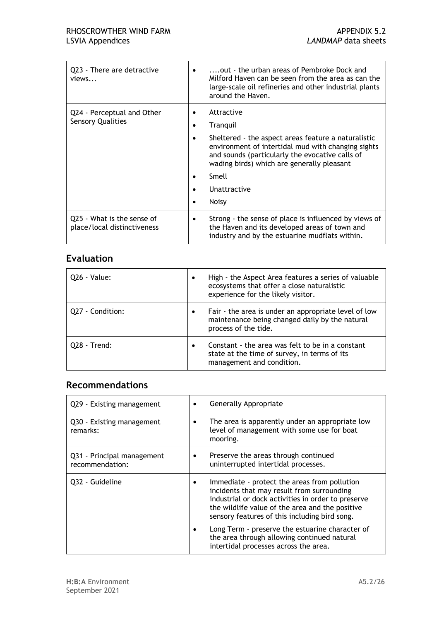| Q23 - There are detractive<br>views                       | out - the urban areas of Pembroke Dock and<br>Milford Haven can be seen from the area as can the<br>large-scale oil refineries and other industrial plants<br>around the Haven.                                                                                               |
|-----------------------------------------------------------|-------------------------------------------------------------------------------------------------------------------------------------------------------------------------------------------------------------------------------------------------------------------------------|
| Q24 - Perceptual and Other<br><b>Sensory Qualities</b>    | Attractive<br>Tranquil<br>Sheltered - the aspect areas feature a naturalistic<br>environment of intertidal mud with changing sights<br>and sounds (particularly the evocative calls of<br>wading birds) which are generally pleasant<br>Smell<br>Unattractive<br><b>Noisy</b> |
| Q25 - What is the sense of<br>place/local distinctiveness | Strong - the sense of place is influenced by views of<br>٠<br>the Haven and its developed areas of town and<br>industry and by the estuarine mudflats within.                                                                                                                 |

| 026 - Value:     | ٠         | High - the Aspect Area features a series of valuable<br>ecosystems that offer a close naturalistic<br>experience for the likely visitor. |
|------------------|-----------|------------------------------------------------------------------------------------------------------------------------------------------|
| Q27 - Condition: |           | Fair - the area is under an appropriate level of low<br>maintenance being changed daily by the natural<br>process of the tide.           |
| Q28 - Trend:     | $\bullet$ | Constant - the area was felt to be in a constant<br>state at the time of survey, in terms of its<br>management and condition.            |

## **Recommendations**

| Q29 - Existing management                     | Generally Appropriate                                                                                                                                                                                                                                |
|-----------------------------------------------|------------------------------------------------------------------------------------------------------------------------------------------------------------------------------------------------------------------------------------------------------|
| Q30 - Existing management<br>remarks:         | The area is apparently under an appropriate low<br>level of management with some use for boat<br>mooring.                                                                                                                                            |
| Q31 - Principal management<br>recommendation: | Preserve the areas through continued<br>٠<br>uninterrupted intertidal processes.                                                                                                                                                                     |
| Q32 - Guideline                               | Immediate - protect the areas from pollution<br>incidents that may result from surrounding<br>industrial or dock activities in order to preserve<br>the wildlife value of the area and the positive<br>sensory features of this including bird song. |
|                                               | Long Term - preserve the estuarine character of<br>the area through allowing continued natural<br>intertidal processes across the area.                                                                                                              |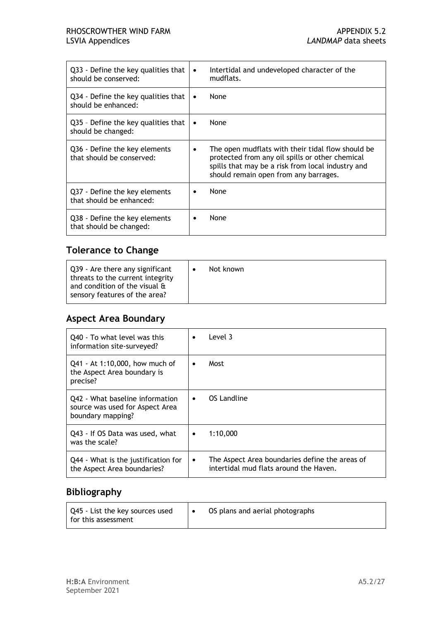#### RHOSCROWTHER WIND FARM **APPENDIX 5.2** LSVIA Appendices *LANDMAP* data sheets

| Q33 - Define the key qualities that<br>should be conserved: | Intertidal and undeveloped character of the<br>$\bullet$<br>mudflats.                                                                                                                              |
|-------------------------------------------------------------|----------------------------------------------------------------------------------------------------------------------------------------------------------------------------------------------------|
| Q34 - Define the key qualities that<br>should be enhanced:  | None<br>٠                                                                                                                                                                                          |
| Q35 - Define the key qualities that<br>should be changed:   | None<br>$\bullet$                                                                                                                                                                                  |
| Q36 - Define the key elements<br>that should be conserved:  | The open mudflats with their tidal flow should be<br>protected from any oil spills or other chemical<br>spills that may be a risk from local industry and<br>should remain open from any barrages. |
| Q37 - Define the key elements<br>that should be enhanced:   | None                                                                                                                                                                                               |
| Q38 - Define the key elements<br>that should be changed:    | None                                                                                                                                                                                               |

## **Tolerance to Change**

| Q39 - Are there any significant<br>threats to the current integrity<br>and condition of the visual &<br>sensory features of the area? | Not known |
|---------------------------------------------------------------------------------------------------------------------------------------|-----------|
|---------------------------------------------------------------------------------------------------------------------------------------|-----------|

#### **Aspect Area Boundary**

| Q40 - To what level was this<br>information site-surveyed?                              | Level 3<br>$\bullet$                                                                                  |
|-----------------------------------------------------------------------------------------|-------------------------------------------------------------------------------------------------------|
| Q41 - At 1:10,000, how much of<br>the Aspect Area boundary is<br>precise?               | Most<br>$\bullet$                                                                                     |
| Q42 - What baseline information<br>source was used for Aspect Area<br>boundary mapping? | OS Landline<br>$\bullet$                                                                              |
| Q43 - If OS Data was used, what<br>was the scale?                                       | 1:10.000<br>$\bullet$                                                                                 |
| Q44 - What is the justification for<br>the Aspect Area boundaries?                      | The Aspect Area boundaries define the areas of<br>$\bullet$<br>intertidal mud flats around the Haven. |

## **Bibliography**

| Q45 - List the key sources used<br>l for this assessment |  | OS plans and aerial photographs |
|----------------------------------------------------------|--|---------------------------------|
|----------------------------------------------------------|--|---------------------------------|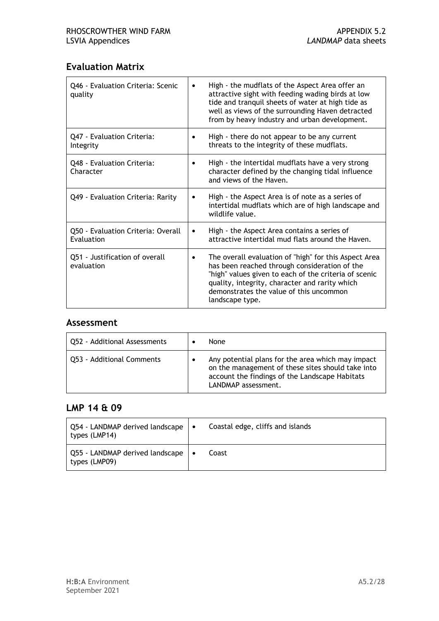#### **Evaluation Matrix**

| Q46 - Evaluation Criteria: Scenic<br>quality     | $\bullet$ | High - the mudflats of the Aspect Area offer an<br>attractive sight with feeding wading birds at low<br>tide and tranquil sheets of water at high tide as<br>well as views of the surrounding Haven detracted<br>from by heavy industry and urban development.                  |
|--------------------------------------------------|-----------|---------------------------------------------------------------------------------------------------------------------------------------------------------------------------------------------------------------------------------------------------------------------------------|
| Q47 - Evaluation Criteria:<br>Integrity          | $\bullet$ | High - there do not appear to be any current<br>threats to the integrity of these mudflats.                                                                                                                                                                                     |
| Q48 - Evaluation Criteria:<br>Character          |           | High - the intertidal mudflats have a very strong<br>character defined by the changing tidal influence<br>and views of the Haven.                                                                                                                                               |
| Q49 - Evaluation Criteria: Rarity                | ٠         | High - the Aspect Area is of note as a series of<br>intertidal mudflats which are of high landscape and<br>wildlife value.                                                                                                                                                      |
| Q50 - Evaluation Criteria: Overall<br>Evaluation | $\bullet$ | High - the Aspect Area contains a series of<br>attractive intertidal mud flats around the Haven.                                                                                                                                                                                |
| Q51 - Justification of overall<br>evaluation     | ٠         | The overall evaluation of "high" for this Aspect Area<br>has been reached through consideration of the<br>"high" values given to each of the criteria of scenic<br>quality, integrity, character and rarity which<br>demonstrates the value of this uncommon<br>landscape type. |

#### **Assessment**

| Q52 - Additional Assessments | None                                                                                                                                                                            |
|------------------------------|---------------------------------------------------------------------------------------------------------------------------------------------------------------------------------|
| Q53 - Additional Comments    | Any potential plans for the area which may impact<br>on the management of these sites should take into<br>account the findings of the Landscape Habitats<br>LANDMAP assessment. |

#### **LMP 14 & 09**

| $\vert$ Q54 - LANDMAP derived landscape $\vert \bullet \vert$<br>types (LMP14) | Coastal edge, cliffs and islands |
|--------------------------------------------------------------------------------|----------------------------------|
| Q55 - LANDMAP derived landscape   •<br>types (LMP09)                           | Coast                            |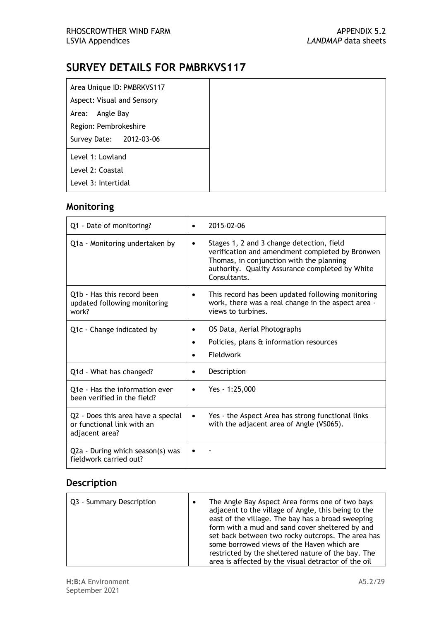| Area Unique ID: PMBRKVS117 |
|----------------------------|
| Aspect: Visual and Sensory |
| Area: Angle Bay            |
| Region: Pembrokeshire      |
| Survey Date: 2012-03-06    |
| Level 1: Lowland           |
| Level 2: Coastal           |
| Level 3: Intertidal        |

## **Monitoring**

| Q1 - Date of monitoring?                                                           | 2015-02-06<br>$\bullet$                                                                                                                                                                                                  |
|------------------------------------------------------------------------------------|--------------------------------------------------------------------------------------------------------------------------------------------------------------------------------------------------------------------------|
| Q1a - Monitoring undertaken by                                                     | Stages 1, 2 and 3 change detection, field<br>$\bullet$<br>verification and amendment completed by Bronwen<br>Thomas, in conjunction with the planning<br>authority. Quality Assurance completed by White<br>Consultants. |
| Q1b - Has this record been<br>updated following monitoring<br>work?                | This record has been updated following monitoring<br>$\bullet$<br>work, there was a real change in the aspect area -<br>views to turbines.                                                                               |
| Q1c - Change indicated by                                                          | OS Data, Aerial Photographs<br>Policies, plans & information resources<br>٠<br>Fieldwork                                                                                                                                 |
| Q1d - What has changed?                                                            | Description                                                                                                                                                                                                              |
| Q <sub>1</sub> e - Has the information ever<br>been verified in the field?         | Yes - 1:25,000<br>$\bullet$                                                                                                                                                                                              |
| Q2 - Does this area have a special<br>or functional link with an<br>adjacent area? | Yes - the Aspect Area has strong functional links<br>$\bullet$<br>with the adjacent area of Angle (VS065).                                                                                                               |
| Q2a - During which season(s) was<br>fieldwork carried out?                         |                                                                                                                                                                                                                          |

| Q3 - Summary Description | The Angle Bay Aspect Area forms one of two bays<br>adjacent to the village of Angle, this being to the<br>east of the village. The bay has a broad sweeping<br>form with a mud and sand cover sheltered by and<br>set back between two rocky outcrops. The area has<br>some borrowed views of the Haven which are |
|--------------------------|-------------------------------------------------------------------------------------------------------------------------------------------------------------------------------------------------------------------------------------------------------------------------------------------------------------------|
|                          | restricted by the sheltered nature of the bay. The<br>area is affected by the visual detractor of the oil                                                                                                                                                                                                         |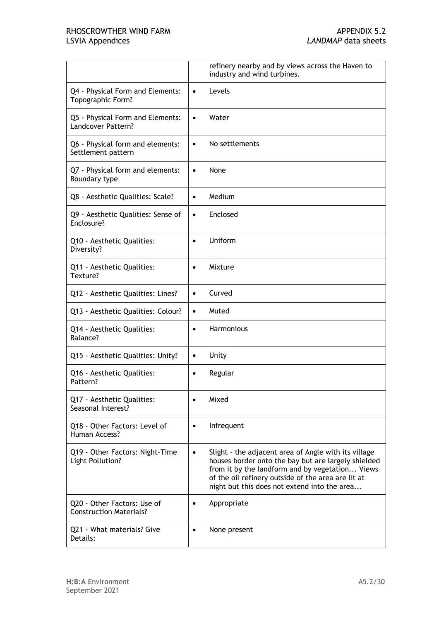|                                                     | refinery nearby and by views across the Haven to<br>industry and wind turbines.                                                                                                                                                                                                   |
|-----------------------------------------------------|-----------------------------------------------------------------------------------------------------------------------------------------------------------------------------------------------------------------------------------------------------------------------------------|
| Q4 - Physical Form and Elements:                    | Levels                                                                                                                                                                                                                                                                            |
| Topographic Form?                                   | $\bullet$                                                                                                                                                                                                                                                                         |
| Q5 - Physical Form and Elements:                    | Water                                                                                                                                                                                                                                                                             |
| Landcover Pattern?                                  | $\bullet$                                                                                                                                                                                                                                                                         |
| Q6 - Physical form and elements:                    | No settlements                                                                                                                                                                                                                                                                    |
| Settlement pattern                                  | $\bullet$                                                                                                                                                                                                                                                                         |
| Q7 - Physical form and elements:                    | None                                                                                                                                                                                                                                                                              |
| Boundary type                                       | $\bullet$                                                                                                                                                                                                                                                                         |
| Q8 - Aesthetic Qualities: Scale?                    | Medium<br>$\bullet$                                                                                                                                                                                                                                                               |
| Q9 - Aesthetic Qualities: Sense of                  | Enclosed                                                                                                                                                                                                                                                                          |
| Enclosure?                                          | $\bullet$                                                                                                                                                                                                                                                                         |
| Q10 - Aesthetic Qualities:                          | Uniform                                                                                                                                                                                                                                                                           |
| Diversity?                                          | $\bullet$                                                                                                                                                                                                                                                                         |
| Q11 - Aesthetic Qualities:                          | Mixture                                                                                                                                                                                                                                                                           |
| Texture?                                            | $\bullet$                                                                                                                                                                                                                                                                         |
| Q12 - Aesthetic Qualities: Lines?                   | Curved<br>$\bullet$                                                                                                                                                                                                                                                               |
| Q13 - Aesthetic Qualities: Colour?                  | Muted<br>$\bullet$                                                                                                                                                                                                                                                                |
| Q14 - Aesthetic Qualities:                          | Harmonious                                                                                                                                                                                                                                                                        |
| Balance?                                            | $\bullet$                                                                                                                                                                                                                                                                         |
| Q15 - Aesthetic Qualities: Unity?                   | Unity<br>$\bullet$                                                                                                                                                                                                                                                                |
| Q16 - Aesthetic Qualities:                          | Regular                                                                                                                                                                                                                                                                           |
| Pattern?                                            | $\bullet$                                                                                                                                                                                                                                                                         |
| Q17 - Aesthetic Qualities:<br>Seasonal Interest?    | Mixed                                                                                                                                                                                                                                                                             |
| Q18 - Other Factors: Level of                       | Infrequent                                                                                                                                                                                                                                                                        |
| Human Access?                                       | $\bullet$                                                                                                                                                                                                                                                                         |
| Q19 - Other Factors: Night-Time<br>Light Pollution? | Slight - the adjacent area of Angle with its village<br>$\bullet$<br>houses border onto the bay but are largely shielded<br>from it by the landform and by vegetation Views<br>of the oil refinery outside of the area are lit at<br>night but this does not extend into the area |
| Q20 - Other Factors: Use of                         | Appropriate                                                                                                                                                                                                                                                                       |
| <b>Construction Materials?</b>                      | $\bullet$                                                                                                                                                                                                                                                                         |
| Q21 - What materials? Give                          | None present                                                                                                                                                                                                                                                                      |
| Details:                                            | $\bullet$                                                                                                                                                                                                                                                                         |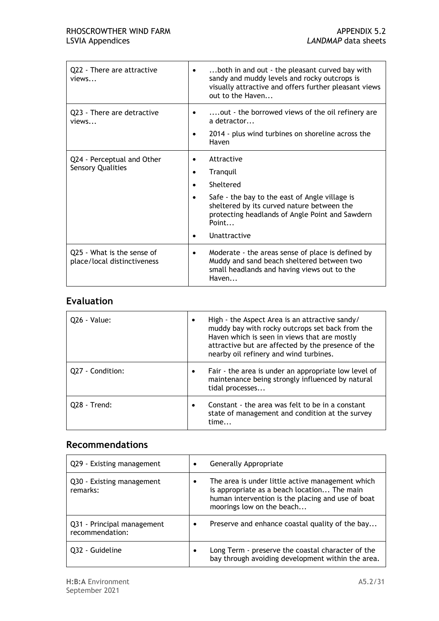| Q22 - There are attractive<br>views                       | both in and out - the pleasant curved bay with<br>٠<br>sandy and muddy levels and rocky outcrops is<br>visually attractive and offers further pleasant views<br>out to the Haven                                                                            |
|-----------------------------------------------------------|-------------------------------------------------------------------------------------------------------------------------------------------------------------------------------------------------------------------------------------------------------------|
| Q23 - There are detractive<br>views                       | out - the borrowed views of the oil refinery are<br>a detractor<br>2014 - plus wind turbines on shoreline across the<br>Haven                                                                                                                               |
| Q24 - Perceptual and Other<br><b>Sensory Qualities</b>    | Attractive<br>٠<br>Tranquil<br>$\bullet$<br>Sheltered<br>$\bullet$<br>Safe - the bay to the east of Angle village is<br>$\bullet$<br>sheltered by its curved nature between the<br>protecting headlands of Angle Point and Sawdern<br>Point<br>Unattractive |
| Q25 - What is the sense of<br>place/local distinctiveness | Moderate - the areas sense of place is defined by<br>٠<br>Muddy and sand beach sheltered between two<br>small headlands and having views out to the<br>Haven                                                                                                |

| Q26 - Value:     | High - the Aspect Area is an attractive sandy/<br>muddy bay with rocky outcrops set back from the<br>Haven which is seen in views that are mostly<br>attractive but are affected by the presence of the<br>nearby oil refinery and wind turbines. |
|------------------|---------------------------------------------------------------------------------------------------------------------------------------------------------------------------------------------------------------------------------------------------|
| Q27 - Condition: | Fair - the area is under an appropriate low level of<br>maintenance being strongly influenced by natural<br>tidal processes                                                                                                                       |
| 028 - Trend:     | Constant - the area was felt to be in a constant<br>state of management and condition at the survey<br>time                                                                                                                                       |

#### **Recommendations**

| Q29 - Existing management                     |           | Generally Appropriate                                                                                                                                                             |
|-----------------------------------------------|-----------|-----------------------------------------------------------------------------------------------------------------------------------------------------------------------------------|
| Q30 - Existing management<br>remarks:         |           | The area is under little active management which<br>is appropriate as a beach location The main<br>human intervention is the placing and use of boat<br>moorings low on the beach |
| Q31 - Principal management<br>recommendation: | $\bullet$ | Preserve and enhance coastal quality of the bay                                                                                                                                   |
| 032 - Guideline                               |           | Long Term - preserve the coastal character of the<br>bay through avoiding development within the area.                                                                            |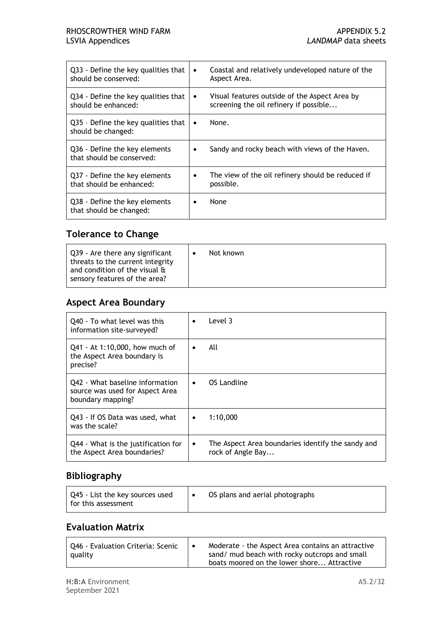| Q33 - Define the key qualities that<br>should be conserved: | $\bullet$ | Coastal and relatively undeveloped nature of the<br>Aspect Area.                        |
|-------------------------------------------------------------|-----------|-----------------------------------------------------------------------------------------|
| Q34 - Define the key qualities that<br>should be enhanced:  | ٠         | Visual features outside of the Aspect Area by<br>screening the oil refinery if possible |
| Q35 - Define the key qualities that<br>should be changed:   | ٠         | None.                                                                                   |
| Q36 - Define the key elements<br>that should be conserved:  |           | Sandy and rocky beach with views of the Haven.                                          |
| Q37 - Define the key elements<br>that should be enhanced:   |           | The view of the oil refinery should be reduced if<br>possible.                          |
| Q38 - Define the key elements<br>that should be changed:    |           | None                                                                                    |

#### **Tolerance to Change**

| Q39 - Are there any significant<br>threats to the current integrity<br>and condition of the visual &<br>sensory features of the area? | Not known |
|---------------------------------------------------------------------------------------------------------------------------------------|-----------|
|---------------------------------------------------------------------------------------------------------------------------------------|-----------|

#### **Aspect Area Boundary**

| Q40 - To what level was this<br>information site-surveyed?                              | Level 3<br>$\bullet$                                                                |
|-----------------------------------------------------------------------------------------|-------------------------------------------------------------------------------------|
| Q41 - At 1:10,000, how much of<br>the Aspect Area boundary is<br>precise?               | All<br>٠                                                                            |
| Q42 - What baseline information<br>source was used for Aspect Area<br>boundary mapping? | OS Landline<br>$\bullet$                                                            |
| Q43 - If OS Data was used, what<br>was the scale?                                       | 1:10.000<br>٠                                                                       |
| Q44 - What is the justification for<br>the Aspect Area boundaries?                      | The Aspect Area boundaries identify the sandy and<br>$\bullet$<br>rock of Angle Bay |

## **Bibliography**

| Q45 - List the key sources used<br>l for this assessment |  | OS plans and aerial photographs |
|----------------------------------------------------------|--|---------------------------------|
|----------------------------------------------------------|--|---------------------------------|

#### **Evaluation Matrix**

| Q46 - Evaluation Criteria: Scenic<br>quality |  | Moderate - the Aspect Area contains an attractive<br>sand/ mud beach with rocky outcrops and small<br>boats moored on the lower shore Attractive |
|----------------------------------------------|--|--------------------------------------------------------------------------------------------------------------------------------------------------|
|----------------------------------------------|--|--------------------------------------------------------------------------------------------------------------------------------------------------|